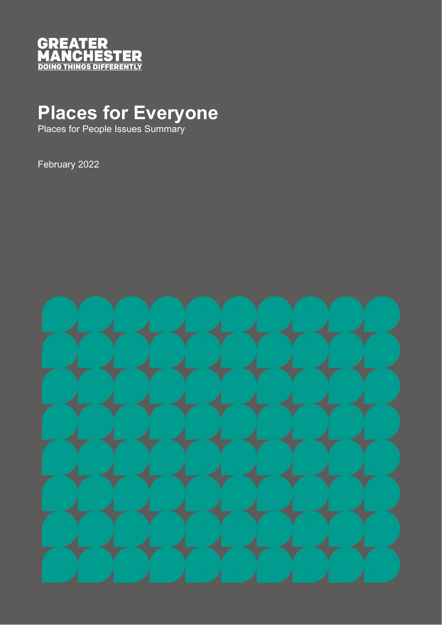

# **Places for Everyone**

Places for People Issues Summary

February 2022

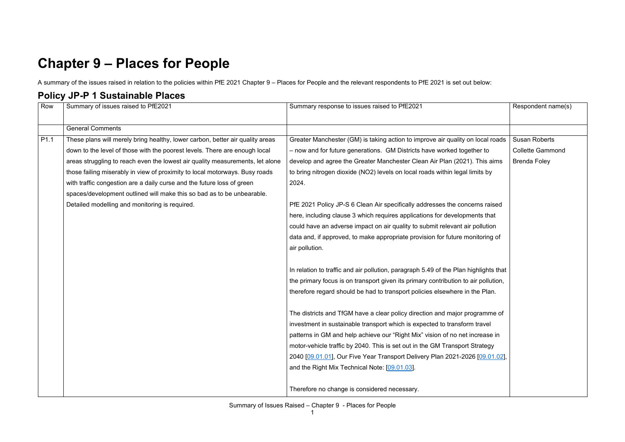## **Chapter 9 – Places for People**

A summary of the issues raised in relation to the policies within PfE 2021 Chapter 9 – Places for People and the relevant respondents to PfE 2021 is set out below:

#### **Policy JP-P 1 Sustainable Places**

| Row              | Summary of issues raised to PfE2021                                           | Summary response to issues raised to PfE2021                                         | Respondent name(s)      |
|------------------|-------------------------------------------------------------------------------|--------------------------------------------------------------------------------------|-------------------------|
|                  |                                                                               |                                                                                      |                         |
|                  | <b>General Comments</b>                                                       |                                                                                      |                         |
| P <sub>1.1</sub> | These plans will merely bring healthy, lower carbon, better air quality areas | Greater Manchester (GM) is taking action to improve air quality on local roads       | <b>Susan Roberts</b>    |
|                  | down to the level of those with the poorest levels. There are enough local    | - now and for future generations. GM Districts have worked together to               | <b>Collette Gammond</b> |
|                  | areas struggling to reach even the lowest air quality measurements, let alone | develop and agree the Greater Manchester Clean Air Plan (2021). This aims            | <b>Brenda Foley</b>     |
|                  | those failing miserably in view of proximity to local motorways. Busy roads   | to bring nitrogen dioxide (NO2) levels on local roads within legal limits by         |                         |
|                  | with traffic congestion are a daily curse and the future loss of green        | 2024.                                                                                |                         |
|                  | spaces/development outlined will make this so bad as to be unbearable.        |                                                                                      |                         |
|                  | Detailed modelling and monitoring is required.                                | PfE 2021 Policy JP-S 6 Clean Air specifically addresses the concerns raised          |                         |
|                  |                                                                               | here, including clause 3 which requires applications for developments that           |                         |
|                  |                                                                               | could have an adverse impact on air quality to submit relevant air pollution         |                         |
|                  |                                                                               | data and, if approved, to make appropriate provision for future monitoring of        |                         |
|                  |                                                                               | air pollution.                                                                       |                         |
|                  |                                                                               |                                                                                      |                         |
|                  |                                                                               | In relation to traffic and air pollution, paragraph 5.49 of the Plan highlights that |                         |
|                  |                                                                               | the primary focus is on transport given its primary contribution to air pollution,   |                         |
|                  |                                                                               | therefore regard should be had to transport policies elsewhere in the Plan.          |                         |
|                  |                                                                               |                                                                                      |                         |
|                  |                                                                               | The districts and TfGM have a clear policy direction and major programme of          |                         |
|                  |                                                                               | investment in sustainable transport which is expected to transform travel            |                         |
|                  |                                                                               | patterns in GM and help achieve our "Right Mix" vision of no net increase in         |                         |
|                  |                                                                               | motor-vehicle traffic by 2040. This is set out in the GM Transport Strategy          |                         |
|                  |                                                                               | 2040 [09.01.01], Our Five Year Transport Delivery Plan 2021-2026 [09.01.02],         |                         |
|                  |                                                                               | and the Right Mix Technical Note: [09.01.03].                                        |                         |
|                  |                                                                               |                                                                                      |                         |
|                  |                                                                               | Therefore no change is considered necessary.                                         |                         |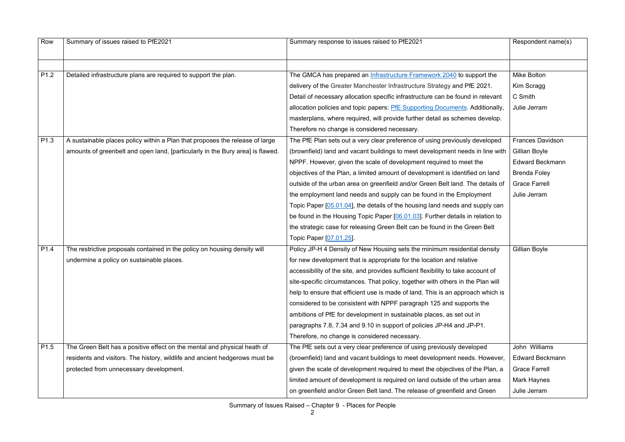| Row              | Summary of issues raised to PfE2021                                            | Summary response to issues raised to PfE2021                                      | Respondent name(s)      |
|------------------|--------------------------------------------------------------------------------|-----------------------------------------------------------------------------------|-------------------------|
|                  |                                                                                |                                                                                   |                         |
| P <sub>1.2</sub> | Detailed infrastructure plans are required to support the plan.                | The GMCA has prepared an Infrastructure Framework 2040 to support the             | <b>Mike Bolton</b>      |
|                  |                                                                                | delivery of the Greater Manchester Infrastructure Strategy and PfE 2021.          | Kim Scragg              |
|                  |                                                                                | Detail of necessary allocation specific infrastructure can be found in relevant   | C Smith                 |
|                  |                                                                                | allocation policies and topic papers: PfE Supporting Documents. Additionally,     | Julie Jerram            |
|                  |                                                                                | masterplans, where required, will provide further detail as schemes develop.      |                         |
|                  |                                                                                | Therefore no change is considered necessary.                                      |                         |
| P <sub>1.3</sub> | A sustainable places policy within a Plan that proposes the release of large   | The PfE Plan sets out a very clear preference of using previously developed       | <b>Frances Davidson</b> |
|                  | amounts of greenbelt and open land, [particularly in the Bury area] is flawed. | (brownfield) land and vacant buildings to meet development needs in line with     | Gillian Boyle           |
|                  |                                                                                | NPPF. However, given the scale of development required to meet the                | <b>Edward Beckmann</b>  |
|                  |                                                                                | objectives of the Plan, a limited amount of development is identified on land     | <b>Brenda Foley</b>     |
|                  |                                                                                | outside of the urban area on greenfield and/or Green Belt land. The details of    | <b>Grace Farrell</b>    |
|                  |                                                                                | the employment land needs and supply can be found in the Employment               | Julie Jerram            |
|                  |                                                                                | Topic Paper [05.01.04], the details of the housing land needs and supply can      |                         |
|                  |                                                                                | be found in the Housing Topic Paper [06.01.03]. Further details in relation to    |                         |
|                  |                                                                                | the strategic case for releasing Green Belt can be found in the Green Belt        |                         |
|                  |                                                                                | Topic Paper [07.01.25]                                                            |                         |
| P <sub>1.4</sub> | The restrictive proposals contained in the policy on housing density will      | Policy JP-H 4 Density of New Housing sets the minimum residential density         | Gillian Boyle           |
|                  | undermine a policy on sustainable places.                                      | for new development that is appropriate for the location and relative             |                         |
|                  |                                                                                | accessibility of the site, and provides sufficient flexibility to take account of |                         |
|                  |                                                                                | site-specific circumstances. That policy, together with others in the Plan will   |                         |
|                  |                                                                                | help to ensure that efficient use is made of land. This is an approach which is   |                         |
|                  |                                                                                | considered to be consistent with NPPF paragraph 125 and supports the              |                         |
|                  |                                                                                | ambitions of PfE for development in sustainable places, as set out in             |                         |
|                  |                                                                                | paragraphs 7.8, 7.34 and 9.10 in support of policies JP-H4 and JP-P1.             |                         |
|                  |                                                                                | Therefore, no change is considered necessary.                                     |                         |
| P <sub>1.5</sub> | The Green Belt has a positive effect on the mental and physical heath of       | The PfE sets out a very clear preference of using previously developed            | John Williams           |
|                  | residents and visitors. The history, wildlife and ancient hedgerows must be    | (brownfield) land and vacant buildings to meet development needs. However,        | <b>Edward Beckmann</b>  |
|                  | protected from unnecessary development.                                        | given the scale of development required to meet the objectives of the Plan, a     | <b>Grace Farrell</b>    |
|                  |                                                                                | limited amount of development is required on land outside of the urban area       | <b>Mark Haynes</b>      |
|                  |                                                                                | on greenfield and/or Green Belt land. The release of greenfield and Green         | Julie Jerram            |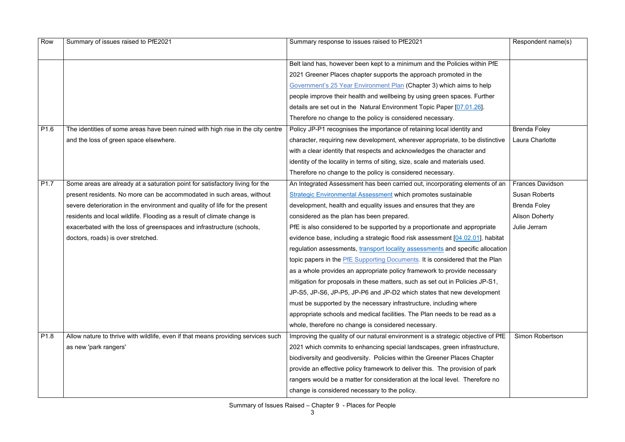| Row              | Summary of issues raised to PfE2021                                              | Summary response to issues raised to PfE2021                                     | Respondent name(s)      |
|------------------|----------------------------------------------------------------------------------|----------------------------------------------------------------------------------|-------------------------|
|                  |                                                                                  |                                                                                  |                         |
|                  |                                                                                  | Belt land has, however been kept to a minimum and the Policies within PfE        |                         |
|                  |                                                                                  | 2021 Greener Places chapter supports the approach promoted in the                |                         |
|                  |                                                                                  | Government's 25 Year Environment Plan (Chapter 3) which aims to help             |                         |
|                  |                                                                                  | people improve their health and wellbeing by using green spaces. Further         |                         |
|                  |                                                                                  | details are set out in the Natural Environment Topic Paper [07.01.26].           |                         |
|                  |                                                                                  | Therefore no change to the policy is considered necessary.                       |                         |
| P <sub>1.6</sub> | The identities of some areas have been ruined with high rise in the city centre  | Policy JP-P1 recognises the importance of retaining local identity and           | <b>Brenda Foley</b>     |
|                  | and the loss of green space elsewhere.                                           | character, requiring new development, wherever appropriate, to be distinctive    | Laura Charlotte         |
|                  |                                                                                  | with a clear identity that respects and acknowledges the character and           |                         |
|                  |                                                                                  | identity of the locality in terms of siting, size, scale and materials used.     |                         |
|                  |                                                                                  | Therefore no change to the policy is considered necessary.                       |                         |
| P <sub>1.7</sub> | Some areas are already at a saturation point for satisfactory living for the     | An Integrated Assessment has been carried out, incorporating elements of an      | <b>Frances Davidson</b> |
|                  | present residents. No more can be accommodated in such areas, without            | <b>Strategic Environmental Assessment which promotes sustainable</b>             | <b>Susan Roberts</b>    |
|                  | severe deterioration in the environment and quality of life for the present      | development, health and equality issues and ensures that they are                | <b>Brenda Foley</b>     |
|                  | residents and local wildlife. Flooding as a result of climate change is          | considered as the plan has been prepared.                                        | <b>Alison Doherty</b>   |
|                  | exacerbated with the loss of greenspaces and infrastructure (schools,            | PfE is also considered to be supported by a proportionate and appropriate        | Julie Jerram            |
|                  | doctors, roads) is over stretched.                                               | evidence base, including a strategic flood risk assessment [04.02.01], habitat   |                         |
|                  |                                                                                  | regulation assessments, transport locality assessments and specific allocation   |                         |
|                  |                                                                                  | topic papers in the PfE Supporting Documents. It is considered that the Plan     |                         |
|                  |                                                                                  | as a whole provides an appropriate policy framework to provide necessary         |                         |
|                  |                                                                                  | mitigation for proposals in these matters, such as set out in Policies JP-S1,    |                         |
|                  |                                                                                  | JP-S5, JP-S6, JP-P5, JP-P6 and JP-D2 which states that new development           |                         |
|                  |                                                                                  | must be supported by the necessary infrastructure, including where               |                         |
|                  |                                                                                  | appropriate schools and medical facilities. The Plan needs to be read as a       |                         |
|                  |                                                                                  | whole, therefore no change is considered necessary.                              |                         |
| P <sub>1.8</sub> | Allow nature to thrive with wildlife, even if that means providing services such | Improving the quality of our natural environment is a strategic objective of PfE | Simon Robertson         |
|                  | as new 'park rangers'                                                            | 2021 which commits to enhancing special landscapes, green infrastructure,        |                         |
|                  |                                                                                  | biodiversity and geodiversity. Policies within the Greener Places Chapter        |                         |
|                  |                                                                                  | provide an effective policy framework to deliver this. The provision of park     |                         |
|                  |                                                                                  | rangers would be a matter for consideration at the local level. Therefore no     |                         |
|                  |                                                                                  | change is considered necessary to the policy.                                    |                         |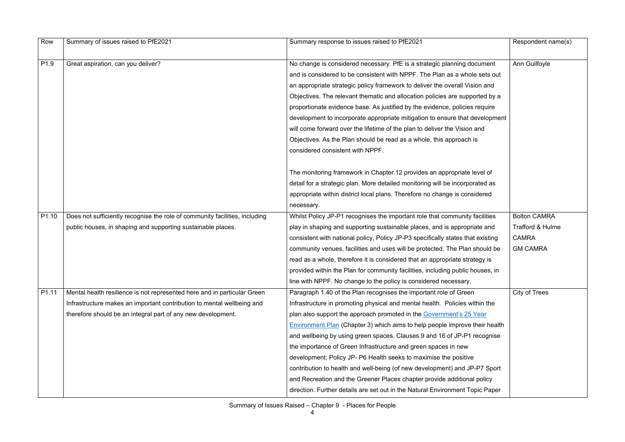| Row               | Summary of issues raised to PfE2021                                         | Summary response to issues raised to PfE2021                                    | Respondent name(s)  |
|-------------------|-----------------------------------------------------------------------------|---------------------------------------------------------------------------------|---------------------|
| P <sub>1.9</sub>  | Great aspiration, can you deliver?                                          | No change is considered necessary. PfE is a strategic planning document         | Ann Guilfoyle       |
|                   |                                                                             | and is considered to be consistent with NPPF. The Plan as a whole sets out      |                     |
|                   |                                                                             | an appropriate strategic policy framework to deliver the overall Vision and     |                     |
|                   |                                                                             | Objectives. The relevant thematic and allocation policies are supported by a    |                     |
|                   |                                                                             | proportionate evidence base. As justified by the evidence, policies require     |                     |
|                   |                                                                             | development to incorporate appropriate mitigation to ensure that development    |                     |
|                   |                                                                             | will come forward over the lifetime of the plan to deliver the Vision and       |                     |
|                   |                                                                             | Objectives. As the Plan should be read as a whole, this approach is             |                     |
|                   |                                                                             | considered consistent with NPPF.                                                |                     |
|                   |                                                                             |                                                                                 |                     |
|                   |                                                                             | The monitoring framework in Chapter 12 provides an appropriate level of         |                     |
|                   |                                                                             | detail for a strategic plan. More detailed monitoring will be incorporated as   |                     |
|                   |                                                                             | appropriate within district local plans. Therefore no change is considered      |                     |
|                   |                                                                             | necessary.                                                                      |                     |
| P <sub>1.10</sub> | Does not sufficiently recognise the role of community facilities, including | Whilst Policy JP-P1 recognises the important role that community facilities     | <b>Bolton CAMRA</b> |
|                   | public houses, in shaping and supporting sustainable places.                | play in shaping and supporting sustainable places, and is appropriate and       | Trafford & Hulme    |
|                   |                                                                             | consistent with national policy, Policy JP-P3 specifically states that existing | <b>CAMRA</b>        |
|                   |                                                                             | community venues, facilities and uses will be protected. The Plan should be     | <b>GM CAMRA</b>     |
|                   |                                                                             | read as a whole, therefore it is considered that an appropriate strategy is     |                     |
|                   |                                                                             | provided within the Plan for community facilities, including public houses, in  |                     |
|                   |                                                                             | line with NPPF. No change to the policy is considered necessary.                |                     |
| P <sub>1.11</sub> | Mental health resilience is not represented here and in particular Green    | Paragraph 1.40 of the Plan recognises the important role of Green               | City of Trees       |
|                   | Infrastructure makes an important contribution to mental wellbeing and      | Infrastructure in promoting physical and mental health. Policies within the     |                     |
|                   | therefore should be an integral part of any new development.                | plan also support the approach promoted in the Government's 25 Year             |                     |
|                   |                                                                             | Environment Plan (Chapter 3) which aims to help people improve their health     |                     |
|                   |                                                                             | and wellbeing by using green spaces. Clauses 9 and 16 of JP-P1 recognise        |                     |
|                   |                                                                             | the importance of Green Infrastructure and green spaces in new                  |                     |
|                   |                                                                             | development; Policy JP- P6 Health seeks to maximise the positive                |                     |
|                   |                                                                             | contribution to health and well-being (of new development) and JP-P7 Sport      |                     |
|                   |                                                                             | and Recreation and the Greener Places chapter provide additional policy         |                     |
|                   |                                                                             | direction. Further details are set out in the Natural Environment Topic Paper   |                     |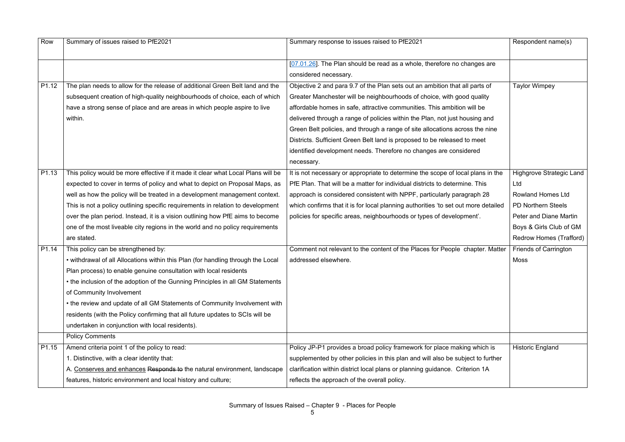| Row               | Summary of issues raised to PfE2021                                              | Summary response to issues raised to PfE2021                                       | Respondent name(s)              |
|-------------------|----------------------------------------------------------------------------------|------------------------------------------------------------------------------------|---------------------------------|
|                   |                                                                                  | [07.01.26]. The Plan should be read as a whole, therefore no changes are           |                                 |
|                   |                                                                                  | considered necessary.                                                              |                                 |
| P1.12             | The plan needs to allow for the release of additional Green Belt land and the    | Objective 2 and para 9.7 of the Plan sets out an ambition that all parts of        | <b>Taylor Wimpey</b>            |
|                   | subsequent creation of high-quality neighbourhoods of choice, each of which      | Greater Manchester will be neighbourhoods of choice, with good quality             |                                 |
|                   | have a strong sense of place and are areas in which people aspire to live        | affordable homes in safe, attractive communities. This ambition will be            |                                 |
|                   | within.                                                                          | delivered through a range of policies within the Plan, not just housing and        |                                 |
|                   |                                                                                  | Green Belt policies, and through a range of site allocations across the nine       |                                 |
|                   |                                                                                  | Districts. Sufficient Green Belt land is proposed to be released to meet           |                                 |
|                   |                                                                                  | identified development needs. Therefore no changes are considered                  |                                 |
|                   |                                                                                  | necessary.                                                                         |                                 |
| P <sub>1.13</sub> | This policy would be more effective if it made it clear what Local Plans will be | It is not necessary or appropriate to determine the scope of local plans in the    | <b>Highgrove Strategic Land</b> |
|                   | expected to cover in terms of policy and what to depict on Proposal Maps, as     | PfE Plan. That will be a matter for individual districts to determine. This        | Ltd                             |
|                   | well as how the policy will be treated in a development management context.      | approach is considered consistent with NPPF, particularly paragraph 28             | <b>Rowland Homes Ltd</b>        |
|                   | This is not a policy outlining specific requirements in relation to development  | which confirms that it is for local planning authorities 'to set out more detailed | <b>PD Northern Steels</b>       |
|                   | over the plan period. Instead, it is a vision outlining how PfE aims to become   | policies for specific areas, neighbourhoods or types of development'.              | <b>Peter and Diane Martin</b>   |
|                   | one of the most liveable city regions in the world and no policy requirements    |                                                                                    | Boys & Girls Club of GM         |
|                   | are stated.                                                                      |                                                                                    | Redrow Homes (Trafford)         |
| P1.14             | This policy can be strengthened by:                                              | Comment not relevant to the content of the Places for People chapter. Matter       | <b>Friends of Carrington</b>    |
|                   | • withdrawal of all Allocations within this Plan (for handling through the Local | addressed elsewhere.                                                               | <b>Moss</b>                     |
|                   | Plan process) to enable genuine consultation with local residents                |                                                                                    |                                 |
|                   | • the inclusion of the adoption of the Gunning Principles in all GM Statements   |                                                                                    |                                 |
|                   | of Community Involvement                                                         |                                                                                    |                                 |
|                   | • the review and update of all GM Statements of Community Involvement with       |                                                                                    |                                 |
|                   | residents (with the Policy confirming that all future updates to SCIs will be    |                                                                                    |                                 |
|                   | undertaken in conjunction with local residents).                                 |                                                                                    |                                 |
|                   | <b>Policy Comments</b>                                                           |                                                                                    |                                 |
| P1.15             | Amend criteria point 1 of the policy to read:                                    | Policy JP-P1 provides a broad policy framework for place making which is           | <b>Historic England</b>         |
|                   | 1. Distinctive, with a clear identity that:                                      | supplemented by other policies in this plan and will also be subject to further    |                                 |
|                   | A. Conserves and enhances Responds to the natural environment, landscape         | clarification within district local plans or planning guidance. Criterion 1A       |                                 |
|                   | features, historic environment and local history and culture;                    | reflects the approach of the overall policy.                                       |                                 |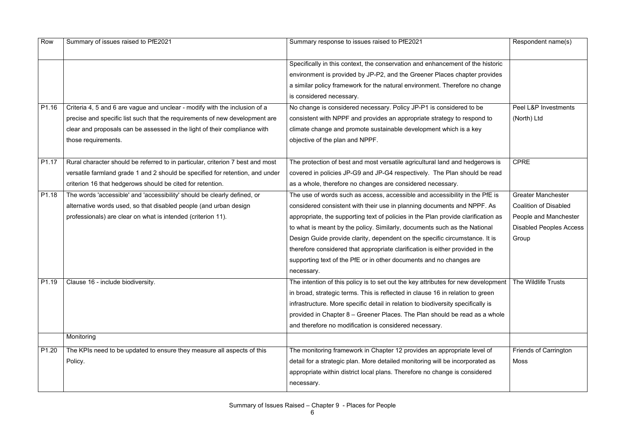| Row               | Summary of issues raised to PfE2021                                            | Summary response to issues raised to PfE2021                                      | Respondent name(s)             |
|-------------------|--------------------------------------------------------------------------------|-----------------------------------------------------------------------------------|--------------------------------|
|                   |                                                                                |                                                                                   |                                |
|                   |                                                                                | Specifically in this context, the conservation and enhancement of the historic    |                                |
|                   |                                                                                | environment is provided by JP-P2, and the Greener Places chapter provides         |                                |
|                   |                                                                                | a similar policy framework for the natural environment. Therefore no change       |                                |
|                   |                                                                                | is considered necessary.                                                          |                                |
| P1.16             | Criteria 4, 5 and 6 are vague and unclear - modify with the inclusion of a     | No change is considered necessary. Policy JP-P1 is considered to be               | Peel L&P Investments           |
|                   | precise and specific list such that the requirements of new development are    | consistent with NPPF and provides an appropriate strategy to respond to           | (North) Ltd                    |
|                   | clear and proposals can be assessed in the light of their compliance with      | climate change and promote sustainable development which is a key                 |                                |
|                   | those requirements.                                                            | objective of the plan and NPPF.                                                   |                                |
|                   |                                                                                |                                                                                   |                                |
| P1.17             | Rural character should be referred to in particular, criterion 7 best and most | The protection of best and most versatile agricultural land and hedgerows is      | <b>CPRE</b>                    |
|                   | versatile farmland grade 1 and 2 should be specified for retention, and under  | covered in policies JP-G9 and JP-G4 respectively. The Plan should be read         |                                |
|                   | criterion 16 that hedgerows should be cited for retention.                     | as a whole, therefore no changes are considered necessary.                        |                                |
| P1.18             | The words 'accessible' and 'accessibility' should be clearly defined, or       | The use of words such as access, accessible and accessibility in the PfE is       | <b>Greater Manchester</b>      |
|                   | alternative words used, so that disabled people (and urban design              | considered consistent with their use in planning documents and NPPF. As           | <b>Coalition of Disabled</b>   |
|                   | professionals) are clear on what is intended (criterion 11).                   | appropriate, the supporting text of policies in the Plan provide clarification as | People and Manchester          |
|                   |                                                                                | to what is meant by the policy. Similarly, documents such as the National         | <b>Disabled Peoples Access</b> |
|                   |                                                                                | Design Guide provide clarity, dependent on the specific circumstance. It is       | Group                          |
|                   |                                                                                | therefore considered that appropriate clarification is either provided in the     |                                |
|                   |                                                                                | supporting text of the PfE or in other documents and no changes are               |                                |
|                   |                                                                                | necessary.                                                                        |                                |
| P <sub>1.19</sub> | Clause 16 - include biodiversity.                                              | The intention of this policy is to set out the key attributes for new development | The Wildlife Trusts            |
|                   |                                                                                | in broad, strategic terms. This is reflected in clause 16 in relation to green    |                                |
|                   |                                                                                | infrastructure. More specific detail in relation to biodiversity specifically is  |                                |
|                   |                                                                                | provided in Chapter 8 – Greener Places. The Plan should be read as a whole        |                                |
|                   |                                                                                | and therefore no modification is considered necessary.                            |                                |
|                   | Monitoring                                                                     |                                                                                   |                                |
| P <sub>1.20</sub> | The KPIs need to be updated to ensure they measure all aspects of this         | The monitoring framework in Chapter 12 provides an appropriate level of           | <b>Friends of Carrington</b>   |
|                   | Policy.                                                                        | detail for a strategic plan. More detailed monitoring will be incorporated as     | <b>Moss</b>                    |
|                   |                                                                                | appropriate within district local plans. Therefore no change is considered        |                                |
|                   |                                                                                |                                                                                   |                                |
|                   |                                                                                | necessary.                                                                        |                                |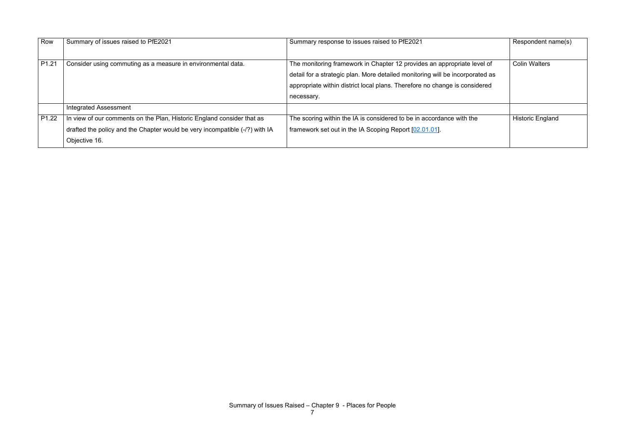| Row               | Summary of issues raised to PfE2021                                         | Summary response to issues raised to PfE2021                                  | Respondent name(s)      |
|-------------------|-----------------------------------------------------------------------------|-------------------------------------------------------------------------------|-------------------------|
| P <sub>1.21</sub> | Consider using commuting as a measure in environmental data.                | The monitoring framework in Chapter 12 provides an appropriate level of       | <b>Colin Walters</b>    |
|                   |                                                                             | detail for a strategic plan. More detailed monitoring will be incorporated as |                         |
|                   |                                                                             | appropriate within district local plans. Therefore no change is considered    |                         |
|                   |                                                                             | necessary.                                                                    |                         |
|                   | <b>Integrated Assessment</b>                                                |                                                                               |                         |
| P <sub>1.22</sub> | In view of our comments on the Plan, Historic England consider that as      | The scoring within the IA is considered to be in accordance with the          | <b>Historic England</b> |
|                   | drafted the policy and the Chapter would be very incompatible (-/?) with IA | framework set out in the IA Scoping Report [02.01.01].                        |                         |
|                   | Objective 16.                                                               |                                                                               |                         |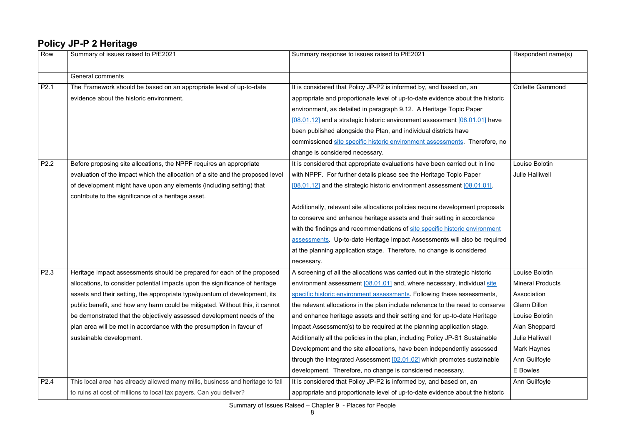#### **Policy JP-P 2 Heritage**

| Row              | Summary of issues raised to PfE2021                                            | Summary response to issues raised to PfE2021                                   | Respondent name(s)      |
|------------------|--------------------------------------------------------------------------------|--------------------------------------------------------------------------------|-------------------------|
|                  | <b>General comments</b>                                                        |                                                                                |                         |
| P <sub>2.1</sub> | The Framework should be based on an appropriate level of up-to-date            | It is considered that Policy JP-P2 is informed by, and based on, an            | <b>Collette Gammond</b> |
|                  | evidence about the historic environment.                                       | appropriate and proportionate level of up-to-date evidence about the historic  |                         |
|                  |                                                                                | environment, as detailed in paragraph 9.12. A Heritage Topic Paper             |                         |
|                  |                                                                                | [08.01.12] and a strategic historic environment assessment [08.01.01] have     |                         |
|                  |                                                                                | been published alongside the Plan, and individual districts have               |                         |
|                  |                                                                                | commissioned site specific historic environment assessments. Therefore, no     |                         |
|                  |                                                                                | change is considered necessary.                                                |                         |
| P2.2             | Before proposing site allocations, the NPPF requires an appropriate            | It is considered that appropriate evaluations have been carried out in line    | Louise Bolotin          |
|                  | evaluation of the impact which the allocation of a site and the proposed level | with NPPF. For further details please see the Heritage Topic Paper             | <b>Julie Halliwell</b>  |
|                  | of development might have upon any elements (including setting) that           | [08.01.12] and the strategic historic environment assessment [08.01.01].       |                         |
|                  | contribute to the significance of a heritage asset.                            |                                                                                |                         |
|                  |                                                                                | Additionally, relevant site allocations policies require development proposals |                         |
|                  |                                                                                | to conserve and enhance heritage assets and their setting in accordance        |                         |
|                  |                                                                                | with the findings and recommendations of site specific historic environment    |                         |
|                  |                                                                                | assessments Up-to-date Heritage Impact Assessments will also be required       |                         |
|                  |                                                                                | at the planning application stage. Therefore, no change is considered          |                         |
|                  |                                                                                | necessary.                                                                     |                         |
| P2.3             | Heritage impact assessments should be prepared for each of the proposed        | A screening of all the allocations was carried out in the strategic historic   | Louise Bolotin          |
|                  | allocations, to consider potential impacts upon the significance of heritage   | environment assessment [08.01.01] and, where necessary, individual site        | <b>Mineral Products</b> |
|                  | assets and their setting, the appropriate type/quantum of development, its     | specific historic environment assessments. Following these assessments,        | Association             |
|                  | public benefit, and how any harm could be mitigated. Without this, it cannot   | the relevant allocations in the plan include reference to the need to conserve | <b>Glenn Dillon</b>     |
|                  | be demonstrated that the objectively assessed development needs of the         | and enhance heritage assets and their setting and for up-to-date Heritage      | Louise Bolotin          |
|                  | plan area will be met in accordance with the presumption in favour of          | Impact Assessment(s) to be required at the planning application stage.         | Alan Sheppard           |
|                  | sustainable development.                                                       | Additionally all the policies in the plan, including Policy JP-S1 Sustainable  | <b>Julie Halliwell</b>  |
|                  |                                                                                | Development and the site allocations, have been independently assessed         | <b>Mark Haynes</b>      |
|                  |                                                                                | through the Integrated Assessment [02.01.02] which promotes sustainable        | Ann Guilfoyle           |
|                  |                                                                                | development. Therefore, no change is considered necessary.                     | E Bowles                |
| P <sub>2.4</sub> | This local area has already allowed many mills, business and heritage to fall  | It is considered that Policy JP-P2 is informed by, and based on, an            | Ann Guilfoyle           |
|                  | to ruins at cost of millions to local tax payers. Can you deliver?             | appropriate and proportionate level of up-to-date evidence about the historic  |                         |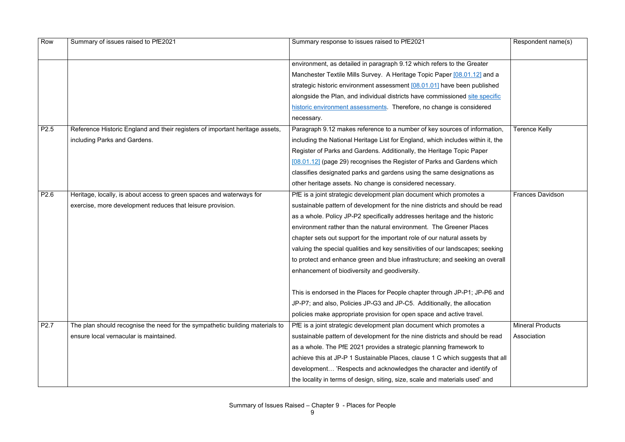| Row              | Summary of issues raised to PfE2021                                          | Summary response to issues raised to PfE2021                                    | Respondent name(s)      |
|------------------|------------------------------------------------------------------------------|---------------------------------------------------------------------------------|-------------------------|
|                  |                                                                              |                                                                                 |                         |
|                  |                                                                              | environment, as detailed in paragraph 9.12 which refers to the Greater          |                         |
|                  |                                                                              | Manchester Textile Mills Survey. A Heritage Topic Paper [08.01.12] and a        |                         |
|                  |                                                                              | strategic historic environment assessment [08.01.01] have been published        |                         |
|                  |                                                                              | alongside the Plan, and individual districts have commissioned site specific    |                         |
|                  |                                                                              | historic environment assessments. Therefore, no change is considered            |                         |
|                  |                                                                              | necessary.                                                                      |                         |
| P <sub>2.5</sub> | Reference Historic England and their registers of important heritage assets, | Paragraph 9.12 makes reference to a number of key sources of information,       | <b>Terence Kelly</b>    |
|                  | including Parks and Gardens.                                                 | including the National Heritage List for England, which includes within it, the |                         |
|                  |                                                                              | Register of Parks and Gardens. Additionally, the Heritage Topic Paper           |                         |
|                  |                                                                              | [08.01.12] (page 29) recognises the Register of Parks and Gardens which         |                         |
|                  |                                                                              | classifies designated parks and gardens using the same designations as          |                         |
|                  |                                                                              | other heritage assets. No change is considered necessary.                       |                         |
| P <sub>2.6</sub> | Heritage, locally, is about access to green spaces and waterways for         | PfE is a joint strategic development plan document which promotes a             | <b>Frances Davidson</b> |
|                  | exercise, more development reduces that leisure provision.                   | sustainable pattern of development for the nine districts and should be read    |                         |
|                  |                                                                              | as a whole. Policy JP-P2 specifically addresses heritage and the historic       |                         |
|                  |                                                                              | environment rather than the natural environment. The Greener Places             |                         |
|                  |                                                                              | chapter sets out support for the important role of our natural assets by        |                         |
|                  |                                                                              | valuing the special qualities and key sensitivities of our landscapes; seeking  |                         |
|                  |                                                                              | to protect and enhance green and blue infrastructure; and seeking an overall    |                         |
|                  |                                                                              | enhancement of biodiversity and geodiversity.                                   |                         |
|                  |                                                                              |                                                                                 |                         |
|                  |                                                                              | This is endorsed in the Places for People chapter through JP-P1; JP-P6 and      |                         |
|                  |                                                                              | JP-P7; and also, Policies JP-G3 and JP-C5. Additionally, the allocation         |                         |
|                  |                                                                              | policies make appropriate provision for open space and active travel.           |                         |
| P <sub>2.7</sub> | The plan should recognise the need for the sympathetic building materials to | PfE is a joint strategic development plan document which promotes a             | <b>Mineral Products</b> |
|                  | ensure local vernacular is maintained.                                       | sustainable pattern of development for the nine districts and should be read    | Association             |
|                  |                                                                              | as a whole. The PfE 2021 provides a strategic planning framework to             |                         |
|                  |                                                                              | achieve this at JP-P 1 Sustainable Places, clause 1 C which suggests that all   |                         |
|                  |                                                                              | development 'Respects and acknowledges the character and identify of            |                         |
|                  |                                                                              | the locality in terms of design, siting, size, scale and materials used' and    |                         |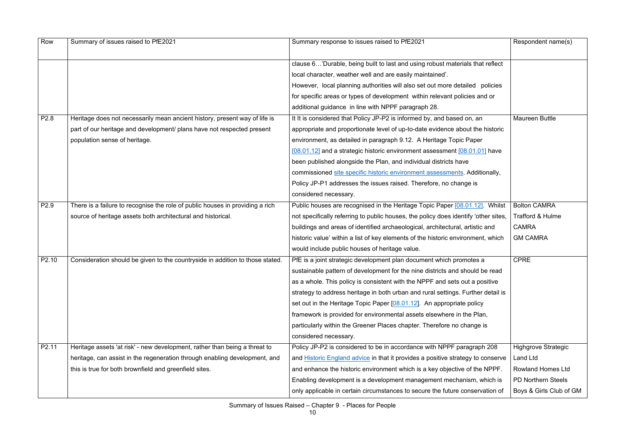| Row               | Summary of issues raised to PfE2021                                           | Summary response to issues raised to PfE2021                                        | Respondent name(s)         |
|-------------------|-------------------------------------------------------------------------------|-------------------------------------------------------------------------------------|----------------------------|
|                   |                                                                               | clause 6'Durable, being built to last and using robust materials that reflect       |                            |
|                   |                                                                               | local character, weather well and are easily maintained'.                           |                            |
|                   |                                                                               | However, local planning authorities will also set out more detailed policies        |                            |
|                   |                                                                               | for specific areas or types of development within relevant policies and or          |                            |
|                   |                                                                               | additional guidance in line with NPPF paragraph 28.                                 |                            |
| P <sub>2.8</sub>  | Heritage does not necessarily mean ancient history, present way of life is    | It It is considered that Policy JP-P2 is informed by, and based on, an              | Maureen Buttle             |
|                   | part of our heritage and development/ plans have not respected present        | appropriate and proportionate level of up-to-date evidence about the historic       |                            |
|                   | population sense of heritage.                                                 | environment, as detailed in paragraph 9.12. A Heritage Topic Paper                  |                            |
|                   |                                                                               | [08.01.12] and a strategic historic environment assessment [08.01.01] have          |                            |
|                   |                                                                               | been published alongside the Plan, and individual districts have                    |                            |
|                   |                                                                               | commissioned site specific historic environment assessments. Additionally,          |                            |
|                   |                                                                               | Policy JP-P1 addresses the issues raised. Therefore, no change is                   |                            |
|                   |                                                                               | considered necessary.                                                               |                            |
| P <sub>2.9</sub>  | There is a failure to recognise the role of public houses in providing a rich | Public houses are recognised in the Heritage Topic Paper [08.01.12]. Whilst         | <b>Bolton CAMRA</b>        |
|                   | source of heritage assets both architectural and historical.                  | not specifically referring to public houses, the policy does identify 'other sites, | Trafford & Hulme           |
|                   |                                                                               | buildings and areas of identified archaeological, architectural, artistic and       | <b>CAMRA</b>               |
|                   |                                                                               | historic value' within a list of key elements of the historic environment, which    | <b>GM CAMRA</b>            |
|                   |                                                                               | would include public houses of heritage value.                                      |                            |
| P <sub>2.10</sub> | Consideration should be given to the countryside in addition to those stated. | PfE is a joint strategic development plan document which promotes a                 | <b>CPRE</b>                |
|                   |                                                                               | sustainable pattern of development for the nine districts and should be read        |                            |
|                   |                                                                               | as a whole. This policy is consistent with the NPPF and sets out a positive         |                            |
|                   |                                                                               | strategy to address heritage in both urban and rural settings. Further detail is    |                            |
|                   |                                                                               | set out in the Heritage Topic Paper [08.01.12]. An appropriate policy               |                            |
|                   |                                                                               | framework is provided for environmental assets elsewhere in the Plan,               |                            |
|                   |                                                                               | particularly within the Greener Places chapter. Therefore no change is              |                            |
|                   |                                                                               | considered necessary.                                                               |                            |
| P <sub>2.11</sub> | Heritage assets 'at risk' - new development, rather than being a threat to    | Policy JP-P2 is considered to be in accordance with NPPF paragraph 208              | <b>Highgrove Strategic</b> |
|                   | heritage, can assist in the regeneration through enabling development, and    | and Historic England advice in that it provides a positive strategy to conserve     | <b>Land Ltd</b>            |
|                   | this is true for both brownfield and greenfield sites.                        | and enhance the historic environment which is a key objective of the NPPF.          | <b>Rowland Homes Ltd</b>   |
|                   |                                                                               | Enabling development is a development management mechanism, which is                | <b>PD Northern Steels</b>  |
|                   |                                                                               | only applicable in certain circumstances to secure the future conservation of       | Boys & Girls Club of GM    |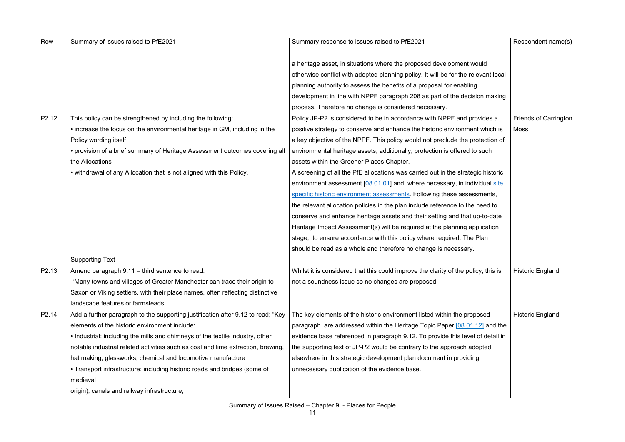| Row               | Summary of issues raised to PfE2021                                                   | Summary response to issues raised to PfE2021                                       | Respondent name(s)           |
|-------------------|---------------------------------------------------------------------------------------|------------------------------------------------------------------------------------|------------------------------|
|                   |                                                                                       | a heritage asset, in situations where the proposed development would               |                              |
|                   |                                                                                       | otherwise conflict with adopted planning policy. It will be for the relevant local |                              |
|                   |                                                                                       | planning authority to assess the benefits of a proposal for enabling               |                              |
|                   |                                                                                       | development in line with NPPF paragraph 208 as part of the decision making         |                              |
|                   |                                                                                       | process. Therefore no change is considered necessary.                              |                              |
| P2.12             | This policy can be strengthened by including the following:                           | Policy JP-P2 is considered to be in accordance with NPPF and provides a            | <b>Friends of Carrington</b> |
|                   | • increase the focus on the environmental heritage in GM, including in the            | positive strategy to conserve and enhance the historic environment which is        | <b>Moss</b>                  |
|                   | Policy wording itself                                                                 | a key objective of the NPPF. This policy would not preclude the protection of      |                              |
|                   | • provision of a brief summary of Heritage Assessment outcomes covering all           | environmental heritage assets, additionally, protection is offered to such         |                              |
|                   | the Allocations                                                                       | assets within the Greener Places Chapter.                                          |                              |
|                   | • withdrawal of any Allocation that is not aligned with this Policy.                  | A screening of all the PfE allocations was carried out in the strategic historic   |                              |
|                   |                                                                                       | environment assessment [08.01.01] and, where necessary, in individual site         |                              |
|                   |                                                                                       | specific historic environment assessments. Following these assessments,            |                              |
|                   |                                                                                       | the relevant allocation policies in the plan include reference to the need to      |                              |
|                   |                                                                                       | conserve and enhance heritage assets and their setting and that up-to-date         |                              |
|                   |                                                                                       | Heritage Impact Assessment(s) will be required at the planning application         |                              |
|                   |                                                                                       | stage, to ensure accordance with this policy where required. The Plan              |                              |
|                   |                                                                                       | should be read as a whole and therefore no change is necessary.                    |                              |
|                   | <b>Supporting Text</b>                                                                |                                                                                    |                              |
| P <sub>2.13</sub> | Amend paragraph 9.11 - third sentence to read:                                        | Whilst it is considered that this could improve the clarity of the policy, this is | Historic England             |
|                   | "Many towns and villages of Greater Manchester can trace their origin to              | not a soundness issue so no changes are proposed.                                  |                              |
|                   | Saxon or Viking settlers, with their place names, often reflecting distinctive        |                                                                                    |                              |
|                   | landscape features or farmsteads.                                                     |                                                                                    |                              |
| P2.14             | Add a further paragraph to the supporting justification after 9.12 to read; "Key      | The key elements of the historic environment listed within the proposed            | <b>Historic England</b>      |
|                   | elements of the historic environment include:                                         | paragraph are addressed within the Heritage Topic Paper [08.01.12] and the         |                              |
|                   | • Industrial: including the mills and chimneys of the textile industry, other         | evidence base referenced in paragraph 9.12. To provide this level of detail in     |                              |
|                   | notable industrial related activities such as coal and lime extraction, brewing,      | the supporting text of JP-P2 would be contrary to the approach adopted             |                              |
|                   | hat making, glassworks, chemical and locomotive manufacture                           | elsewhere in this strategic development plan document in providing                 |                              |
|                   | • Transport infrastructure: including historic roads and bridges (some of<br>medieval | unnecessary duplication of the evidence base.                                      |                              |
|                   | origin), canals and railway infrastructure;                                           |                                                                                    |                              |
|                   |                                                                                       |                                                                                    |                              |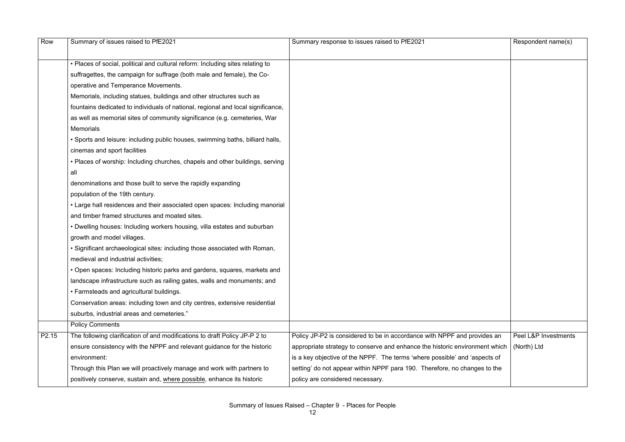| Row               | Summary of issues raised to PfE2021                                              | Summary response to issues raised to PfE2021                                | Respondent name(s)   |
|-------------------|----------------------------------------------------------------------------------|-----------------------------------------------------------------------------|----------------------|
|                   |                                                                                  |                                                                             |                      |
|                   | • Places of social, political and cultural reform: Including sites relating to   |                                                                             |                      |
|                   | suffragettes, the campaign for suffrage (both male and female), the Co-          |                                                                             |                      |
|                   | operative and Temperance Movements.                                              |                                                                             |                      |
|                   | Memorials, including statues, buildings and other structures such as             |                                                                             |                      |
|                   | fountains dedicated to individuals of national, regional and local significance, |                                                                             |                      |
|                   | as well as memorial sites of community significance (e.g. cemeteries, War        |                                                                             |                      |
|                   | <b>Memorials</b>                                                                 |                                                                             |                      |
|                   | • Sports and leisure: including public houses, swimming baths, billiard halls,   |                                                                             |                      |
|                   | cinemas and sport facilities                                                     |                                                                             |                      |
|                   | • Places of worship: Including churches, chapels and other buildings, serving    |                                                                             |                      |
|                   | all                                                                              |                                                                             |                      |
|                   | denominations and those built to serve the rapidly expanding                     |                                                                             |                      |
|                   | population of the 19th century.                                                  |                                                                             |                      |
|                   | • Large hall residences and their associated open spaces: Including manorial     |                                                                             |                      |
|                   | and timber framed structures and moated sites.                                   |                                                                             |                      |
|                   | • Dwelling houses: Including workers housing, villa estates and suburban         |                                                                             |                      |
|                   | growth and model villages.                                                       |                                                                             |                      |
|                   | • Significant archaeological sites: including those associated with Roman,       |                                                                             |                      |
|                   | medieval and industrial activities;                                              |                                                                             |                      |
|                   | Open spaces: Including historic parks and gardens, squares, markets and          |                                                                             |                      |
|                   | landscape infrastructure such as railing gates, walls and monuments; and         |                                                                             |                      |
|                   | • Farmsteads and agricultural buildings.                                         |                                                                             |                      |
|                   | Conservation areas: including town and city centres, extensive residential       |                                                                             |                      |
|                   | suburbs, industrial areas and cemeteries."                                       |                                                                             |                      |
|                   | <b>Policy Comments</b>                                                           |                                                                             |                      |
| P <sub>2.15</sub> | The following clarification of and modifications to draft Policy JP-P 2 to       | Policy JP-P2 is considered to be in accordance with NPPF and provides an    | Peel L&P Investments |
|                   | ensure consistency with the NPPF and relevant guidance for the historic          | appropriate strategy to conserve and enhance the historic environment which | (North) Ltd          |
|                   | environment:                                                                     | is a key objective of the NPPF. The terms 'where possible' and 'aspects of  |                      |
|                   | Through this Plan we will proactively manage and work with partners to           | setting' do not appear within NPPF para 190. Therefore, no changes to the   |                      |
|                   | positively conserve, sustain and, where possible, enhance its historic           | policy are considered necessary.                                            |                      |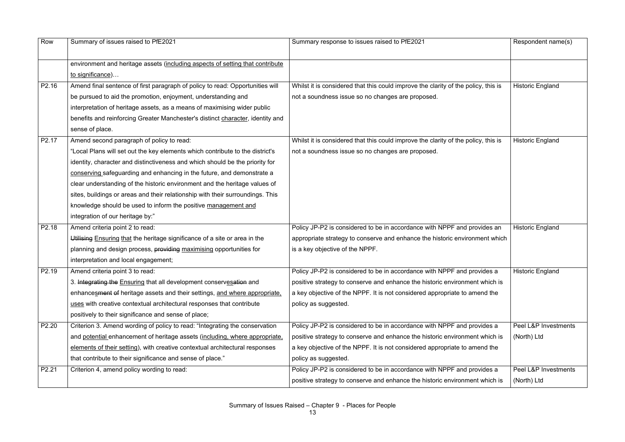| Row               | Summary of issues raised to PfE2021                                            | Summary response to issues raised to PfE2021                                       | Respondent name(s)      |
|-------------------|--------------------------------------------------------------------------------|------------------------------------------------------------------------------------|-------------------------|
|                   | environment and heritage assets (including aspects of setting that contribute  |                                                                                    |                         |
|                   | to significance)                                                               |                                                                                    |                         |
| P2.16             | Amend final sentence of first paragraph of policy to read: Opportunities will  | Whilst it is considered that this could improve the clarity of the policy, this is | <b>Historic England</b> |
|                   | be pursued to aid the promotion, enjoyment, understanding and                  | not a soundness issue so no changes are proposed.                                  |                         |
|                   | interpretation of heritage assets, as a means of maximising wider public       |                                                                                    |                         |
|                   | benefits and reinforcing Greater Manchester's distinct character, identity and |                                                                                    |                         |
|                   | sense of place.                                                                |                                                                                    |                         |
| P <sub>2.17</sub> | Amend second paragraph of policy to read:                                      | Whilst it is considered that this could improve the clarity of the policy, this is | <b>Historic England</b> |
|                   | "Local Plans will set out the key elements which contribute to the district's  | not a soundness issue so no changes are proposed.                                  |                         |
|                   | identity, character and distinctiveness and which should be the priority for   |                                                                                    |                         |
|                   | conserving safeguarding and enhancing in the future, and demonstrate a         |                                                                                    |                         |
|                   | clear understanding of the historic environment and the heritage values of     |                                                                                    |                         |
|                   | sites, buildings or areas and their relationship with their surroundings. This |                                                                                    |                         |
|                   | knowledge should be used to inform the positive management and                 |                                                                                    |                         |
|                   | integration of our heritage by:"                                               |                                                                                    |                         |
| P <sub>2.18</sub> | Amend criteria point 2 to read:                                                | Policy JP-P2 is considered to be in accordance with NPPF and provides an           | <b>Historic England</b> |
|                   | Utilising Ensuring that the heritage significance of a site or area in the     | appropriate strategy to conserve and enhance the historic environment which        |                         |
|                   | planning and design process, providing maximising opportunities for            | is a key objective of the NPPF.                                                    |                         |
|                   | interpretation and local engagement;                                           |                                                                                    |                         |
| P2.19             | Amend criteria point 3 to read:                                                | Policy JP-P2 is considered to be in accordance with NPPF and provides a            | <b>Historic England</b> |
|                   | 3. Integrating the Ensuring that all development conservesation and            | positive strategy to conserve and enhance the historic environment which is        |                         |
|                   | enhances ment of heritage assets and their settings, and where appropriate,    | a key objective of the NPPF. It is not considered appropriate to amend the         |                         |
|                   | uses with creative contextual architectural responses that contribute          | policy as suggested.                                                               |                         |
|                   | positively to their significance and sense of place;                           |                                                                                    |                         |
| P2.20             | Criterion 3. Amend wording of policy to read: "Integrating the conservation    | Policy JP-P2 is considered to be in accordance with NPPF and provides a            | Peel L&P Investments    |
|                   | and potential enhancement of heritage assets (including, where appropriate,    | positive strategy to conserve and enhance the historic environment which is        | (North) Ltd             |
|                   | elements of their setting), with creative contextual architectural responses   | a key objective of the NPPF. It is not considered appropriate to amend the         |                         |
|                   | that contribute to their significance and sense of place."                     | policy as suggested.                                                               |                         |
| P <sub>2.21</sub> | Criterion 4, amend policy wording to read:                                     | Policy JP-P2 is considered to be in accordance with NPPF and provides a            | Peel L&P Investments    |
|                   |                                                                                | positive strategy to conserve and enhance the historic environment which is        | (North) Ltd             |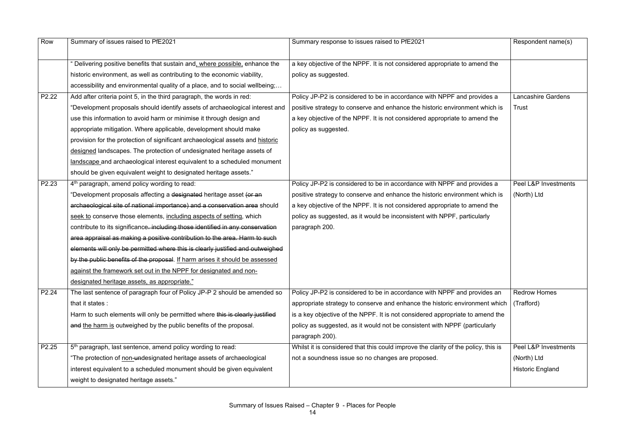| Row               | Summary of issues raised to PfE2021                                            | Summary response to issues raised to PfE2021                                       | Respondent name(s)        |
|-------------------|--------------------------------------------------------------------------------|------------------------------------------------------------------------------------|---------------------------|
|                   | " Delivering positive benefits that sustain and, where possible, enhance the   | a key objective of the NPPF. It is not considered appropriate to amend the         |                           |
|                   | historic environment, as well as contributing to the economic viability,       | policy as suggested.                                                               |                           |
|                   | accessibility and environmental quality of a place, and to social wellbeing;   |                                                                                    |                           |
|                   |                                                                                |                                                                                    |                           |
| P <sub>2.22</sub> | Add after criteria point 5, in the third paragraph, the words in red:          | Policy JP-P2 is considered to be in accordance with NPPF and provides a            | <b>Lancashire Gardens</b> |
|                   | "Development proposals should identify assets of archaeological interest and   | positive strategy to conserve and enhance the historic environment which is        | <b>Trust</b>              |
|                   | use this information to avoid harm or minimise it through design and           | a key objective of the NPPF. It is not considered appropriate to amend the         |                           |
|                   | appropriate mitigation. Where applicable, development should make              | policy as suggested.                                                               |                           |
|                   | provision for the protection of significant archaeological assets and historic |                                                                                    |                           |
|                   | designed landscapes. The protection of undesignated heritage assets of         |                                                                                    |                           |
|                   | landscape and archaeological interest equivalent to a scheduled monument       |                                                                                    |                           |
|                   | should be given equivalent weight to designated heritage assets."              |                                                                                    |                           |
| P2.23             | 4 <sup>th</sup> paragraph, amend policy wording to read:                       | Policy JP-P2 is considered to be in accordance with NPPF and provides a            | Peel L&P Investments      |
|                   | "Development proposals affecting a designated heritage asset (or an            | positive strategy to conserve and enhance the historic environment which is        | (North) Ltd               |
|                   | archaeological site of national importance) and a conservation area should     | a key objective of the NPPF. It is not considered appropriate to amend the         |                           |
|                   | seek to conserve those elements, including aspects of setting, which           | policy as suggested, as it would be inconsistent with NPPF, particularly           |                           |
|                   | contribute to its significance. including those identified in any conservation | paragraph 200.                                                                     |                           |
|                   | area appraisal as making a positive contribution to the area. Harm to such     |                                                                                    |                           |
|                   | elements will only be permitted where this is clearly justified and outweighed |                                                                                    |                           |
|                   | by the public benefits of the proposal. If harm arises it should be assessed   |                                                                                    |                           |
|                   | against the framework set out in the NPPF for designated and non-              |                                                                                    |                           |
|                   | designated heritage assets, as appropriate."                                   |                                                                                    |                           |
| P2.24             | The last sentence of paragraph four of Policy JP-P 2 should be amended so      | Policy JP-P2 is considered to be in accordance with NPPF and provides an           | <b>Redrow Homes</b>       |
|                   | that it states :                                                               | appropriate strategy to conserve and enhance the historic environment which        | (Trafford)                |
|                   | Harm to such elements will only be permitted where this is clearly justified   | is a key objective of the NPPF. It is not considered appropriate to amend the      |                           |
|                   | and the harm is outweighed by the public benefits of the proposal.             | policy as suggested, as it would not be consistent with NPPF (particularly         |                           |
|                   |                                                                                | paragraph 200).                                                                    |                           |
| P2.25             | 5 <sup>th</sup> paragraph, last sentence, amend policy wording to read:        | Whilst it is considered that this could improve the clarity of the policy, this is | Peel L&P Investments      |
|                   | "The protection of non-undesignated heritage assets of archaeological          | not a soundness issue so no changes are proposed.                                  | (North) Ltd               |
|                   | interest equivalent to a scheduled monument should be given equivalent         |                                                                                    | <b>Historic England</b>   |
|                   | weight to designated heritage assets."                                         |                                                                                    |                           |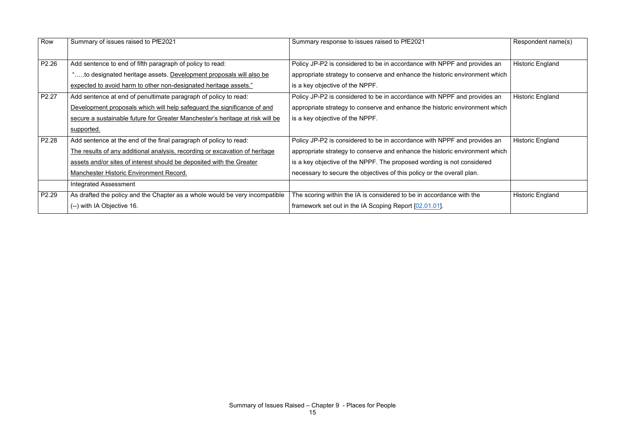| Row   | Summary of issues raised to PfE2021                                           | Summary response to issues raised to PfE2021                                | Respondent name(s)      |
|-------|-------------------------------------------------------------------------------|-----------------------------------------------------------------------------|-------------------------|
|       |                                                                               |                                                                             |                         |
| P2.26 | Add sentence to end of fifth paragraph of policy to read:                     | Policy JP-P2 is considered to be in accordance with NPPF and provides an    | <b>Historic England</b> |
|       | "to designated heritage assets. Development proposals will also be            | appropriate strategy to conserve and enhance the historic environment which |                         |
|       | expected to avoid harm to other non-designated heritage assets."              | is a key objective of the NPPF.                                             |                         |
| P2.27 | Add sentence at end of penultimate paragraph of policy to read:               | Policy JP-P2 is considered to be in accordance with NPPF and provides an    | <b>Historic England</b> |
|       | Development proposals which will help safeguard the significance of and       | appropriate strategy to conserve and enhance the historic environment which |                         |
|       | secure a sustainable future for Greater Manchester's heritage at risk will be | is a key objective of the NPPF.                                             |                         |
|       | supported.                                                                    |                                                                             |                         |
| P2.28 | Add sentence at the end of the final paragraph of policy to read:             | Policy JP-P2 is considered to be in accordance with NPPF and provides an    | <b>Historic England</b> |
|       | The results of any additional analysis, recording or excavation of heritage   | appropriate strategy to conserve and enhance the historic environment which |                         |
|       | assets and/or sites of interest should be deposited with the Greater          | is a key objective of the NPPF. The proposed wording is not considered      |                         |
|       | <b>Manchester Historic Environment Record.</b>                                | necessary to secure the objectives of this policy or the overall plan.      |                         |
|       | <b>Integrated Assessment</b>                                                  |                                                                             |                         |
| P2.29 | As drafted the policy and the Chapter as a whole would be very incompatible   | The scoring within the IA is considered to be in accordance with the        | <b>Historic England</b> |
|       | (--) with IA Objective 16.                                                    | framework set out in the IA Scoping Report $[02.01.01]$ .                   |                         |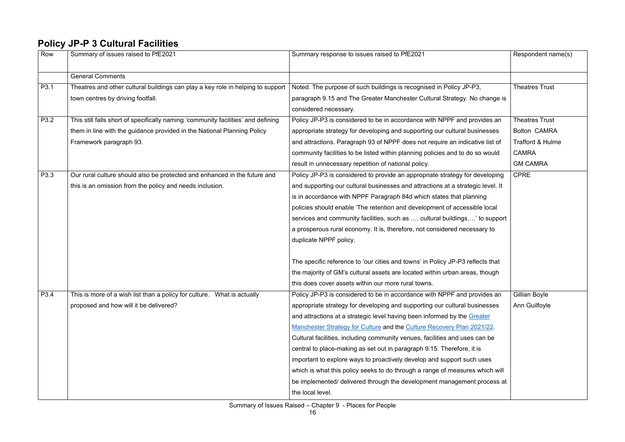### **Policy JP-P 3 Cultural Facilities**

| Row  | Summary of issues raised to PfE2021                                               | Summary response to issues raised to PfE2021                                    | Respondent name(s)    |
|------|-----------------------------------------------------------------------------------|---------------------------------------------------------------------------------|-----------------------|
|      | <b>General Comments</b>                                                           |                                                                                 |                       |
| P3.1 | Theatres and other cultural buildings can play a key role in helping to support   | Noted. The purpose of such buildings is recognised in Policy JP-P3,             | <b>Theatres Trust</b> |
|      | town centres by driving footfall.                                                 | paragraph 9.15 and The Greater Manchester Cultural Strategy. No change is       |                       |
|      |                                                                                   | considered necessary.                                                           |                       |
| P3.2 | This still falls short of specifically naming 'community facilities' and defining | Policy JP-P3 is considered to be in accordance with NPPF and provides an        | <b>Theatres Trust</b> |
|      | them in line with the guidance provided in the National Planning Policy           | appropriate strategy for developing and supporting our cultural businesses      | <b>Bolton CAMRA</b>   |
|      | Framework paragraph 93.                                                           | and attractions. Paragraph 93 of NPPF does not require an indicative list of    | Trafford & Hulme      |
|      |                                                                                   | community facilities to be listed within planning policies and to do so would   | <b>CAMRA</b>          |
|      |                                                                                   | result in unnecessary repetition of national policy.                            | <b>GM CAMRA</b>       |
| P3.3 | Our rural culture should also be protected and enhanced in the future and         | Policy JP-P3 is considered to provide an appropriate strategy for developing    | <b>CPRE</b>           |
|      | this is an omission from the policy and needs inclusion.                          | and supporting our cultural businesses and attractions at a strategic level. It |                       |
|      |                                                                                   | is in accordance with NPPF Paragraph 84d which states that planning             |                       |
|      |                                                                                   | policies should enable 'The retention and development of accessible local       |                       |
|      |                                                                                   | services and community facilities, such as  cultural buildings' to support      |                       |
|      |                                                                                   | a prosperous rural economy. It is, therefore, not considered necessary to       |                       |
|      |                                                                                   | duplicate NPPF policy.                                                          |                       |
|      |                                                                                   | The specific reference to 'our cities and towns' in Policy JP-P3 reflects that  |                       |
|      |                                                                                   | the majority of GM's cultural assets are located within urban areas, though     |                       |
|      |                                                                                   | this does cover assets within our more rural towns.                             |                       |
| P3.4 | This is more of a wish list than a policy for culture. What is actually           | Policy JP-P3 is considered to be in accordance with NPPF and provides an        | Gillian Boyle         |
|      | proposed and how will it be delivered?                                            | appropriate strategy for developing and supporting our cultural businesses      | Ann Guilfoyle         |
|      |                                                                                   | and attractions at a strategic level having been informed by the Greater        |                       |
|      |                                                                                   | Manchester Strategy for Culture and the Culture Recovery Plan 2021/22.          |                       |
|      |                                                                                   | Cultural facilities, including community venues, facilities and uses can be     |                       |
|      |                                                                                   | central to place-making as set out in paragraph 9.15. Therefore, it is          |                       |
|      |                                                                                   | important to explore ways to proactively develop and support such uses          |                       |
|      |                                                                                   | which is what this policy seeks to do through a range of measures which will    |                       |
|      |                                                                                   | be implemented/ delivered through the development management process at         |                       |
|      |                                                                                   | the local level.                                                                |                       |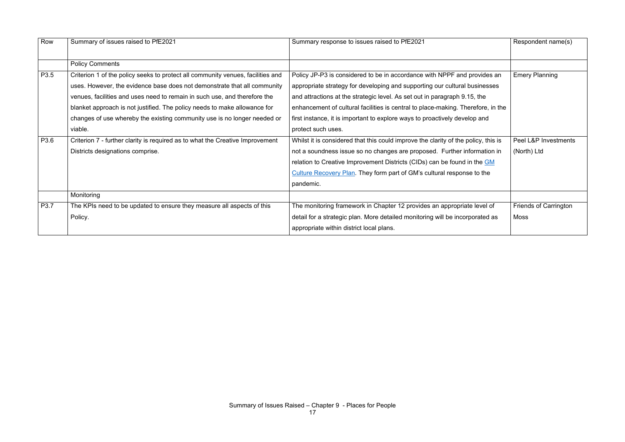| Row  | Summary of issues raised to PfE2021                                             | Summary response to issues raised to PfE2021                                       | Respondent name(s)           |
|------|---------------------------------------------------------------------------------|------------------------------------------------------------------------------------|------------------------------|
|      |                                                                                 |                                                                                    |                              |
|      | <b>Policy Comments</b>                                                          |                                                                                    |                              |
| P3.5 | Criterion 1 of the policy seeks to protect all community venues, facilities and | Policy JP-P3 is considered to be in accordance with NPPF and provides an           | <b>Emery Planning</b>        |
|      | uses. However, the evidence base does not demonstrate that all community        | appropriate strategy for developing and supporting our cultural businesses         |                              |
|      | venues, facilities and uses need to remain in such use, and therefore the       | and attractions at the strategic level. As set out in paragraph 9.15, the          |                              |
|      | blanket approach is not justified. The policy needs to make allowance for       | enhancement of cultural facilities is central to place-making. Therefore, in the   |                              |
|      | changes of use whereby the existing community use is no longer needed or        | first instance, it is important to explore ways to proactively develop and         |                              |
|      | viable.                                                                         | protect such uses.                                                                 |                              |
| P3.6 | Criterion 7 - further clarity is required as to what the Creative Improvement   | Whilst it is considered that this could improve the clarity of the policy, this is | Peel L&P Investments         |
|      | Districts designations comprise.                                                | not a soundness issue so no changes are proposed. Further information in           | (North) Ltd                  |
|      |                                                                                 | relation to Creative Improvement Districts (CIDs) can be found in the GM           |                              |
|      |                                                                                 | Culture Recovery Plan. They form part of GM's cultural response to the             |                              |
|      |                                                                                 | pandemic.                                                                          |                              |
|      | Monitoring                                                                      |                                                                                    |                              |
| P3.7 | The KPIs need to be updated to ensure they measure all aspects of this          | The monitoring framework in Chapter 12 provides an appropriate level of            | <b>Friends of Carrington</b> |
|      | Policy.                                                                         | detail for a strategic plan. More detailed monitoring will be incorporated as      | <b>Moss</b>                  |
|      |                                                                                 | appropriate within district local plans.                                           |                              |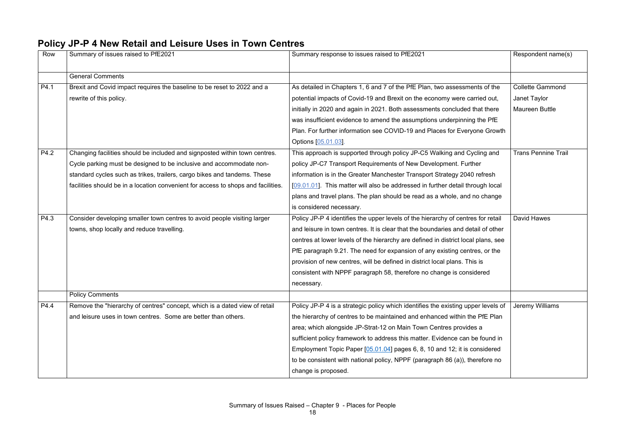#### **Policy JP-P 4 New Retail and Leisure Uses in Town Centres**

| Row  | Summary of issues raised to PfE2021                                               | Summary response to issues raised to PfE2021                                      | Respondent name(s)         |
|------|-----------------------------------------------------------------------------------|-----------------------------------------------------------------------------------|----------------------------|
|      | <b>General Comments</b>                                                           |                                                                                   |                            |
| P4.1 | Brexit and Covid impact requires the baseline to be reset to 2022 and a           | As detailed in Chapters 1, 6 and 7 of the PfE Plan, two assessments of the        | <b>Collette Gammond</b>    |
|      | rewrite of this policy.                                                           | potential impacts of Covid-19 and Brexit on the economy were carried out,         | Janet Taylor               |
|      |                                                                                   | initially in 2020 and again in 2021. Both assessments concluded that there        | <b>Maureen Buttle</b>      |
|      |                                                                                   | was insufficient evidence to amend the assumptions underpinning the PfE           |                            |
|      |                                                                                   | Plan. For further information see COVID-19 and Places for Everyone Growth         |                            |
|      |                                                                                   | Options [05.01.03].                                                               |                            |
| P4.2 | Changing facilities should be included and signposted within town centres.        | This approach is supported through policy JP-C5 Walking and Cycling and           | <b>Trans Pennine Trail</b> |
|      | Cycle parking must be designed to be inclusive and accommodate non-               | policy JP-C7 Transport Requirements of New Development. Further                   |                            |
|      | standard cycles such as trikes, trailers, cargo bikes and tandems. These          | information is in the Greater Manchester Transport Strategy 2040 refresh          |                            |
|      | facilities should be in a location convenient for access to shops and facilities. | [09.01.01]. This matter will also be addressed in further detail through local    |                            |
|      |                                                                                   | plans and travel plans. The plan should be read as a whole, and no change         |                            |
|      |                                                                                   | is considered necessary.                                                          |                            |
| P4.3 | Consider developing smaller town centres to avoid people visiting larger          | Policy JP-P 4 identifies the upper levels of the hierarchy of centres for retail  | David Hawes                |
|      | towns, shop locally and reduce travelling.                                        | and leisure in town centres. It is clear that the boundaries and detail of other  |                            |
|      |                                                                                   | centres at lower levels of the hierarchy are defined in district local plans, see |                            |
|      |                                                                                   | PfE paragraph 9.21. The need for expansion of any existing centres, or the        |                            |
|      |                                                                                   | provision of new centres, will be defined in district local plans. This is        |                            |
|      |                                                                                   | consistent with NPPF paragraph 58, therefore no change is considered              |                            |
|      |                                                                                   | necessary.                                                                        |                            |
|      | <b>Policy Comments</b>                                                            |                                                                                   |                            |
| P4.4 | Remove the "hierarchy of centres" concept, which is a dated view of retail        | Policy JP-P 4 is a strategic policy which identifies the existing upper levels of | Jeremy Williams            |
|      | and leisure uses in town centres. Some are better than others.                    | the hierarchy of centres to be maintained and enhanced within the PfE Plan        |                            |
|      |                                                                                   | area; which alongside JP-Strat-12 on Main Town Centres provides a                 |                            |
|      |                                                                                   | sufficient policy framework to address this matter. Evidence can be found in      |                            |
|      |                                                                                   | Employment Topic Paper [05.01.04] pages 6, 8, 10 and 12; it is considered         |                            |
|      |                                                                                   | to be consistent with national policy, NPPF (paragraph 86 (a)), therefore no      |                            |
|      |                                                                                   | change is proposed.                                                               |                            |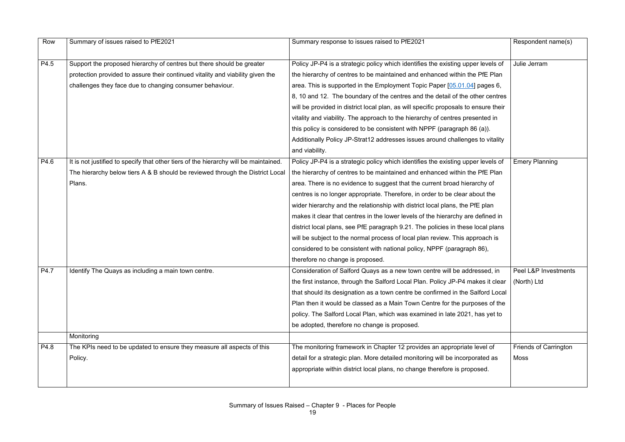| Row  | Summary of issues raised to PfE2021                                                  | Summary response to issues raised to PfE2021                                        | Respondent name(s)           |
|------|--------------------------------------------------------------------------------------|-------------------------------------------------------------------------------------|------------------------------|
|      |                                                                                      |                                                                                     |                              |
| P4.5 | Support the proposed hierarchy of centres but there should be greater                | Policy JP-P4 is a strategic policy which identifies the existing upper levels of    | Julie Jerram                 |
|      | protection provided to assure their continued vitality and viability given the       | the hierarchy of centres to be maintained and enhanced within the PfE Plan          |                              |
|      | challenges they face due to changing consumer behaviour.                             | area. This is supported in the Employment Topic Paper [05.01.04] pages 6,           |                              |
|      |                                                                                      | 8, 10 and 12. The boundary of the centres and the detail of the other centres       |                              |
|      |                                                                                      | will be provided in district local plan, as will specific proposals to ensure their |                              |
|      |                                                                                      | vitality and viability. The approach to the hierarchy of centres presented in       |                              |
|      |                                                                                      | this policy is considered to be consistent with NPPF (paragraph 86 (a)).            |                              |
|      |                                                                                      | Additionally Policy JP-Strat12 addresses issues around challenges to vitality       |                              |
|      |                                                                                      | and viability.                                                                      |                              |
| P4.6 | It is not justified to specify that other tiers of the hierarchy will be maintained. | Policy JP-P4 is a strategic policy which identifies the existing upper levels of    | <b>Emery Planning</b>        |
|      | The hierarchy below tiers A & B should be reviewed through the District Local        | the hierarchy of centres to be maintained and enhanced within the PfE Plan          |                              |
|      | Plans.                                                                               | area. There is no evidence to suggest that the current broad hierarchy of           |                              |
|      |                                                                                      | centres is no longer appropriate. Therefore, in order to be clear about the         |                              |
|      |                                                                                      | wider hierarchy and the relationship with district local plans, the PfE plan        |                              |
|      |                                                                                      | makes it clear that centres in the lower levels of the hierarchy are defined in     |                              |
|      |                                                                                      | district local plans, see PfE paragraph 9.21. The policies in these local plans     |                              |
|      |                                                                                      | will be subject to the normal process of local plan review. This approach is        |                              |
|      |                                                                                      | considered to be consistent with national policy, NPPF (paragraph 86),              |                              |
|      |                                                                                      | therefore no change is proposed.                                                    |                              |
| P4.7 | Identify The Quays as including a main town centre.                                  | Consideration of Salford Quays as a new town centre will be addressed, in           | Peel L&P Investments         |
|      |                                                                                      | the first instance, through the Salford Local Plan. Policy JP-P4 makes it clear     | (North) Ltd                  |
|      |                                                                                      | that should its designation as a town centre be confirmed in the Salford Local      |                              |
|      |                                                                                      | Plan then it would be classed as a Main Town Centre for the purposes of the         |                              |
|      |                                                                                      | policy. The Salford Local Plan, which was examined in late 2021, has yet to         |                              |
|      |                                                                                      | be adopted, therefore no change is proposed.                                        |                              |
|      | Monitoring                                                                           |                                                                                     |                              |
| P4.8 | The KPIs need to be updated to ensure they measure all aspects of this               | The monitoring framework in Chapter 12 provides an appropriate level of             | <b>Friends of Carrington</b> |
|      | Policy.                                                                              | detail for a strategic plan. More detailed monitoring will be incorporated as       | <b>Moss</b>                  |
|      |                                                                                      | appropriate within district local plans, no change therefore is proposed.           |                              |
|      |                                                                                      |                                                                                     |                              |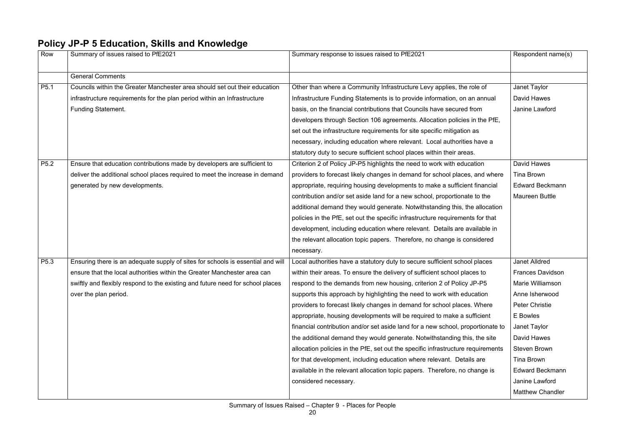### **Policy JP-P 5 Education, Skills and Knowledge**

| Row              | Summary of issues raised to PfE2021                                             | Summary response to issues raised to PfE2021                                     | Respondent name(s)      |
|------------------|---------------------------------------------------------------------------------|----------------------------------------------------------------------------------|-------------------------|
|                  | <b>General Comments</b>                                                         |                                                                                  |                         |
| P <sub>5.1</sub> | Councils within the Greater Manchester area should set out their education      | Other than where a Community Infrastructure Levy applies, the role of            | Janet Taylor            |
|                  | infrastructure requirements for the plan period within an Infrastructure        | Infrastructure Funding Statements is to provide information, on an annual        | David Hawes             |
|                  | <b>Funding Statement.</b>                                                       | basis, on the financial contributions that Councils have secured from            | Janine Lawford          |
|                  |                                                                                 | developers through Section 106 agreements. Allocation policies in the PfE,       |                         |
|                  |                                                                                 | set out the infrastructure requirements for site specific mitigation as          |                         |
|                  |                                                                                 | necessary, including education where relevant. Local authorities have a          |                         |
|                  |                                                                                 | statutory duty to secure sufficient school places within their areas.            |                         |
| P5.2             | Ensure that education contributions made by developers are sufficient to        | Criterion 2 of Policy JP-P5 highlights the need to work with education           | <b>David Hawes</b>      |
|                  | deliver the additional school places required to meet the increase in demand    | providers to forecast likely changes in demand for school places, and where      | <b>Tina Brown</b>       |
|                  | generated by new developments.                                                  | appropriate, requiring housing developments to make a sufficient financial       | <b>Edward Beckmann</b>  |
|                  |                                                                                 | contribution and/or set aside land for a new school, proportionate to the        | <b>Maureen Buttle</b>   |
|                  |                                                                                 | additional demand they would generate. Notwithstanding this, the allocation      |                         |
|                  |                                                                                 | policies in the PfE, set out the specific infrastructure requirements for that   |                         |
|                  |                                                                                 | development, including education where relevant. Details are available in        |                         |
|                  |                                                                                 | the relevant allocation topic papers. Therefore, no change is considered         |                         |
|                  |                                                                                 | necessary.                                                                       |                         |
| P5.3             | Ensuring there is an adequate supply of sites for schools is essential and will | Local authorities have a statutory duty to secure sufficient school places       | <b>Janet Alldred</b>    |
|                  | ensure that the local authorities within the Greater Manchester area can        | within their areas. To ensure the delivery of sufficient school places to        | <b>Frances Davidson</b> |
|                  | swiftly and flexibly respond to the existing and future need for school places  | respond to the demands from new housing, criterion 2 of Policy JP-P5             | Marie Williamson        |
|                  | over the plan period.                                                           | supports this approach by highlighting the need to work with education           | Anne Isherwood          |
|                  |                                                                                 | providers to forecast likely changes in demand for school places. Where          | <b>Peter Christie</b>   |
|                  |                                                                                 | appropriate, housing developments will be required to make a sufficient          | E Bowles                |
|                  |                                                                                 | financial contribution and/or set aside land for a new school, proportionate to  | Janet Taylor            |
|                  |                                                                                 | the additional demand they would generate. Not with standing this, the site      | David Hawes             |
|                  |                                                                                 | allocation policies in the PfE, set out the specific infrastructure requirements | <b>Steven Brown</b>     |
|                  |                                                                                 | for that development, including education where relevant. Details are            | <b>Tina Brown</b>       |
|                  |                                                                                 | available in the relevant allocation topic papers. Therefore, no change is       | <b>Edward Beckmann</b>  |
|                  |                                                                                 | considered necessary.                                                            | Janine Lawford          |
|                  |                                                                                 |                                                                                  | <b>Matthew Chandler</b> |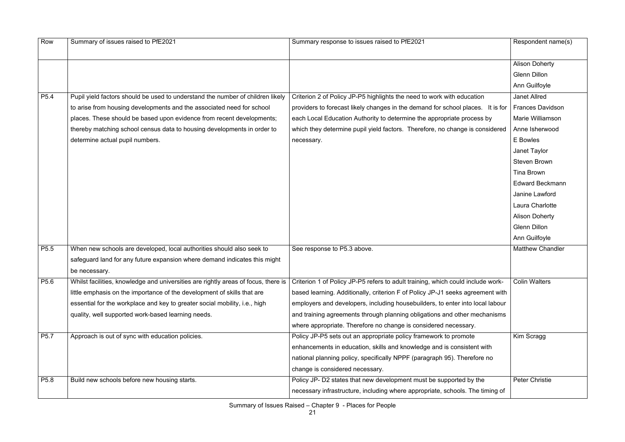| Row              | Summary of issues raised to PfE2021                                                | Summary response to issues raised to PfE2021                                    | Respondent name(s)      |
|------------------|------------------------------------------------------------------------------------|---------------------------------------------------------------------------------|-------------------------|
|                  |                                                                                    |                                                                                 | <b>Alison Doherty</b>   |
|                  |                                                                                    |                                                                                 | <b>Glenn Dillon</b>     |
|                  |                                                                                    |                                                                                 | Ann Guilfoyle           |
| P <sub>5.4</sub> | Pupil yield factors should be used to understand the number of children likely     | Criterion 2 of Policy JP-P5 highlights the need to work with education          | <b>Janet Allred</b>     |
|                  | to arise from housing developments and the associated need for school              | providers to forecast likely changes in the demand for school places. It is for | <b>Frances Davidson</b> |
|                  | places. These should be based upon evidence from recent developments;              | each Local Education Authority to determine the appropriate process by          | <b>Marie Williamson</b> |
|                  | thereby matching school census data to housing developments in order to            | which they determine pupil yield factors. Therefore, no change is considered    | Anne Isherwood          |
|                  | determine actual pupil numbers.                                                    | necessary.                                                                      | E Bowles                |
|                  |                                                                                    |                                                                                 | Janet Taylor            |
|                  |                                                                                    |                                                                                 | <b>Steven Brown</b>     |
|                  |                                                                                    |                                                                                 | Tina Brown              |
|                  |                                                                                    |                                                                                 | <b>Edward Beckmann</b>  |
|                  |                                                                                    |                                                                                 | Janine Lawford          |
|                  |                                                                                    |                                                                                 | Laura Charlotte         |
|                  |                                                                                    |                                                                                 | <b>Alison Doherty</b>   |
|                  |                                                                                    |                                                                                 | <b>Glenn Dillon</b>     |
|                  |                                                                                    |                                                                                 | Ann Guilfoyle           |
| P <sub>5.5</sub> | When new schools are developed, local authorities should also seek to              | See response to P5.3 above.                                                     | <b>Matthew Chandler</b> |
|                  | safeguard land for any future expansion where demand indicates this might          |                                                                                 |                         |
|                  | be necessary.                                                                      |                                                                                 |                         |
| P5.6             | Whilst facilities, knowledge and universities are rightly areas of focus, there is | Criterion 1 of Policy JP-P5 refers to adult training, which could include work- | <b>Colin Walters</b>    |
|                  | little emphasis on the importance of the development of skills that are            | based learning. Additionally, criterion F of Policy JP-J1 seeks agreement with  |                         |
|                  | essential for the workplace and key to greater social mobility, i.e., high         | employers and developers, including housebuilders, to enter into local labour   |                         |
|                  | quality, well supported work-based learning needs.                                 | and training agreements through planning obligations and other mechanisms       |                         |
|                  |                                                                                    | where appropriate. Therefore no change is considered necessary.                 |                         |
| P5.7             | Approach is out of sync with education policies.                                   | Policy JP-P5 sets out an appropriate policy framework to promote                | Kim Scragg              |
|                  |                                                                                    | enhancements in education, skills and knowledge and is consistent with          |                         |
|                  |                                                                                    | national planning policy, specifically NPPF (paragraph 95). Therefore no        |                         |
|                  |                                                                                    | change is considered necessary.                                                 |                         |
| P5.8             | Build new schools before new housing starts.                                       | Policy JP- D2 states that new development must be supported by the              | Peter Christie          |
|                  |                                                                                    | necessary infrastructure, including where appropriate, schools. The timing of   |                         |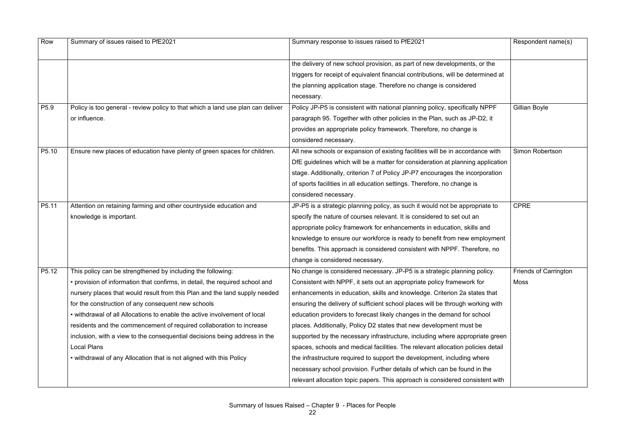| Row              | Summary of issues raised to PfE2021                                             | Summary response to issues raised to PfE2021                                      | Respondent name(s)           |
|------------------|---------------------------------------------------------------------------------|-----------------------------------------------------------------------------------|------------------------------|
|                  |                                                                                 | the delivery of new school provision, as part of new developments, or the         |                              |
|                  |                                                                                 | triggers for receipt of equivalent financial contributions, will be determined at |                              |
|                  |                                                                                 | the planning application stage. Therefore no change is considered                 |                              |
|                  |                                                                                 | necessary.                                                                        |                              |
| P <sub>5.9</sub> | Policy is too general - review policy to that which a land use plan can deliver | Policy JP-P5 is consistent with national planning policy, specifically NPPF       | Gillian Boyle                |
|                  | or influence.                                                                   | paragraph 95. Together with other policies in the Plan, such as JP-D2, it         |                              |
|                  |                                                                                 | provides an appropriate policy framework. Therefore, no change is                 |                              |
|                  |                                                                                 | considered necessary.                                                             |                              |
| P5.10            | Ensure new places of education have plenty of green spaces for children.        | All new schools or expansion of existing facilities will be in accordance with    | Simon Robertson              |
|                  |                                                                                 | DfE guidelines which will be a matter for consideration at planning application   |                              |
|                  |                                                                                 | stage. Additionally, criterion 7 of Policy JP-P7 encourages the incorporation     |                              |
|                  |                                                                                 | of sports facilities in all education settings. Therefore, no change is           |                              |
|                  |                                                                                 | considered necessary.                                                             |                              |
| P5.11            | Attention on retaining farming and other countryside education and              | JP-P5 is a strategic planning policy, as such it would not be appropriate to      | <b>CPRE</b>                  |
|                  | knowledge is important.                                                         | specify the nature of courses relevant. It is considered to set out an            |                              |
|                  |                                                                                 | appropriate policy framework for enhancements in education, skills and            |                              |
|                  |                                                                                 | knowledge to ensure our workforce is ready to benefit from new employment         |                              |
|                  |                                                                                 | benefits. This approach is considered consistent with NPPF. Therefore, no         |                              |
|                  |                                                                                 | change is considered necessary.                                                   |                              |
| P5.12            | This policy can be strengthened by including the following:                     | No change is considered necessary. JP-P5 is a strategic planning policy.          | <b>Friends of Carrington</b> |
|                  | • provision of information that confirms, in detail, the required school and    | Consistent with NPPF, it sets out an appropriate policy framework for             | <b>Moss</b>                  |
|                  | nursery places that would result from this Plan and the land supply needed      | enhancements in education, skills and knowledge. Criterion 2a states that         |                              |
|                  | for the construction of any consequent new schools                              | ensuring the delivery of sufficient school places will be through working with    |                              |
|                  | • withdrawal of all Allocations to enable the active involvement of local       | education providers to forecast likely changes in the demand for school           |                              |
|                  | residents and the commencement of required collaboration to increase            | places. Additionally, Policy D2 states that new development must be               |                              |
|                  | inclusion, with a view to the consequential decisions being address in the      | supported by the necessary infrastructure, including where appropriate green      |                              |
|                  | <b>Local Plans</b>                                                              | spaces, schools and medical facilities. The relevant allocation policies detail   |                              |
|                  | • withdrawal of any Allocation that is not aligned with this Policy             | the infrastructure required to support the development, including where           |                              |
|                  |                                                                                 | necessary school provision. Further details of which can be found in the          |                              |
|                  |                                                                                 | relevant allocation topic papers. This approach is considered consistent with     |                              |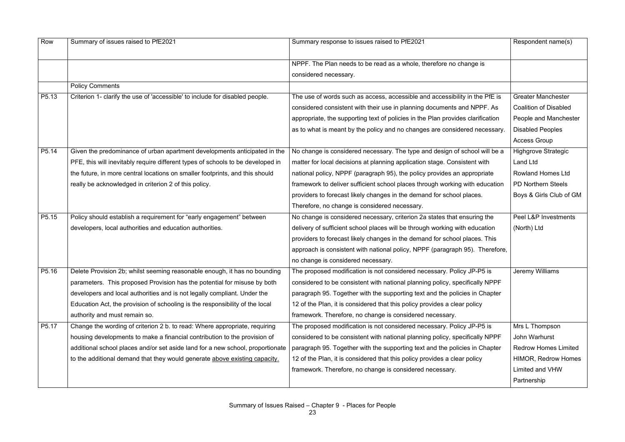| Row               | Summary of issues raised to PfE2021                                             | Summary response to issues raised to PfE2021                                    | Respondent name(s)           |
|-------------------|---------------------------------------------------------------------------------|---------------------------------------------------------------------------------|------------------------------|
|                   |                                                                                 | NPPF. The Plan needs to be read as a whole, therefore no change is              |                              |
|                   |                                                                                 | considered necessary.                                                           |                              |
|                   | <b>Policy Comments</b>                                                          |                                                                                 |                              |
| P <sub>5.13</sub> | Criterion 1- clarify the use of 'accessible' to include for disabled people.    | The use of words such as access, accessible and accessibility in the PfE is     | <b>Greater Manchester</b>    |
|                   |                                                                                 | considered consistent with their use in planning documents and NPPF. As         | <b>Coalition of Disabled</b> |
|                   |                                                                                 | appropriate, the supporting text of policies in the Plan provides clarification | People and Manchester        |
|                   |                                                                                 | as to what is meant by the policy and no changes are considered necessary.      | <b>Disabled Peoples</b>      |
|                   |                                                                                 |                                                                                 | <b>Access Group</b>          |
| P5.14             | Given the predominance of urban apartment developments anticipated in the       | No change is considered necessary. The type and design of school will be a      | <b>Highgrove Strategic</b>   |
|                   | PFE, this will inevitably require different types of schools to be developed in | matter for local decisions at planning application stage. Consistent with       | <b>Land Ltd</b>              |
|                   | the future, in more central locations on smaller footprints, and this should    | national policy, NPPF (paragraph 95), the policy provides an appropriate        | <b>Rowland Homes Ltd</b>     |
|                   | really be acknowledged in criterion 2 of this policy.                           | framework to deliver sufficient school places through working with education    | <b>PD Northern Steels</b>    |
|                   |                                                                                 | providers to forecast likely changes in the demand for school places.           | Boys & Girls Club of GM      |
|                   |                                                                                 | Therefore, no change is considered necessary.                                   |                              |
| P5.15             | Policy should establish a requirement for "early engagement" between            | No change is considered necessary, criterion 2a states that ensuring the        | Peel L&P Investments         |
|                   | developers, local authorities and education authorities.                        | delivery of sufficient school places will be through working with education     | (North) Ltd                  |
|                   |                                                                                 | providers to forecast likely changes in the demand for school places. This      |                              |
|                   |                                                                                 | approach is consistent with national policy, NPPF (paragraph 95). Therefore,    |                              |
|                   |                                                                                 | no change is considered necessary.                                              |                              |
| P5.16             | Delete Provision 2b; whilst seeming reasonable enough, it has no bounding       | The proposed modification is not considered necessary. Policy JP-P5 is          | Jeremy Williams              |
|                   | parameters. This proposed Provision has the potential for misuse by both        | considered to be consistent with national planning policy, specifically NPPF    |                              |
|                   | developers and local authorities and is not legally compliant. Under the        | paragraph 95. Together with the supporting text and the policies in Chapter     |                              |
|                   | Education Act, the provision of schooling is the responsibility of the local    | 12 of the Plan, it is considered that this policy provides a clear policy       |                              |
|                   | authority and must remain so.                                                   | framework. Therefore, no change is considered necessary.                        |                              |
| P5.17             | Change the wording of criterion 2 b. to read: Where appropriate, requiring      | The proposed modification is not considered necessary. Policy JP-P5 is          | Mrs L Thompson               |
|                   | housing developments to make a financial contribution to the provision of       | considered to be consistent with national planning policy, specifically NPPF    | John Warhurst                |
|                   | additional school places and/or set aside land for a new school, proportionate  | paragraph 95. Together with the supporting text and the policies in Chapter     | <b>Redrow Homes Limited</b>  |
|                   | to the additional demand that they would generate above existing capacity.      | 12 of the Plan, it is considered that this policy provides a clear policy       | <b>HIMOR, Redrow Homes</b>   |
|                   |                                                                                 | framework. Therefore, no change is considered necessary.                        | Limited and VHW              |
|                   |                                                                                 |                                                                                 | Partnership                  |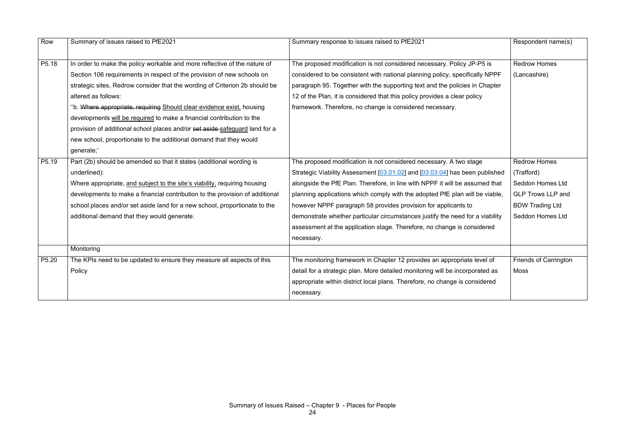| Row               | Summary of issues raised to PfE2021                                          | Summary response to issues raised to PfE2021                                  | Respondent name(s)           |
|-------------------|------------------------------------------------------------------------------|-------------------------------------------------------------------------------|------------------------------|
|                   |                                                                              |                                                                               |                              |
| P5.18             | In order to make the policy workable and more reflective of the nature of    | The proposed modification is not considered necessary. Policy JP-P5 is        | <b>Redrow Homes</b>          |
|                   | Section 106 requirements in respect of the provision of new schools on       | considered to be consistent with national planning policy, specifically NPPF  | (Lancashire)                 |
|                   | strategic sites, Redrow consider that the wording of Criterion 2b should be  | paragraph 95. Together with the supporting text and the policies in Chapter   |                              |
|                   | altered as follows:                                                          | 12 of the Plan, it is considered that this policy provides a clear policy     |                              |
|                   | "b. Where appropriate, requiring Should clear evidence exist, housing        | framework. Therefore, no change is considered necessary.                      |                              |
|                   | developments will be required to make a financial contribution to the        |                                                                               |                              |
|                   | provision of additional school places and/or set aside safeguard land for a  |                                                                               |                              |
|                   | new school, proportionate to the additional demand that they would           |                                                                               |                              |
|                   | generate;'                                                                   |                                                                               |                              |
| P5.19             | Part (2b) should be amended so that it states (additional wording is         | The proposed modification is not considered necessary. A two stage            | <b>Redrow Homes</b>          |
|                   | underlined):                                                                 | Strategic Viability Assessment [03.01.02] and [03.03.04] has been published   | (Trafford)                   |
|                   | Where appropriate, and subject to the site's viability, requiring housing    | alongside the PfE Plan. Therefore, in line with NPPF it will be assumed that  | Seddon Homes Ltd             |
|                   | developments to make a financial contribution to the provision of additional | planning applications which comply with the adopted PfE plan will be viable,  | <b>GLP Trows LLP and</b>     |
|                   | school places and/or set aside land for a new school, proportionate to the   | however NPPF paragraph 58 provides provision for applicants to                | <b>BDW Trading Ltd</b>       |
|                   | additional demand that they would generate.                                  | demonstrate whether particular circumstances justify the need for a viability | Seddon Homes Ltd             |
|                   |                                                                              | assessment at the application stage. Therefore, no change is considered       |                              |
|                   |                                                                              | necessary.                                                                    |                              |
|                   | Monitoring                                                                   |                                                                               |                              |
| P <sub>5.20</sub> | The KPIs need to be updated to ensure they measure all aspects of this       | The monitoring framework in Chapter 12 provides an appropriate level of       | <b>Friends of Carrington</b> |
|                   | Policy                                                                       | detail for a strategic plan. More detailed monitoring will be incorporated as | <b>Moss</b>                  |
|                   |                                                                              | appropriate within district local plans. Therefore, no change is considered   |                              |
|                   |                                                                              | necessary.                                                                    |                              |
|                   |                                                                              |                                                                               |                              |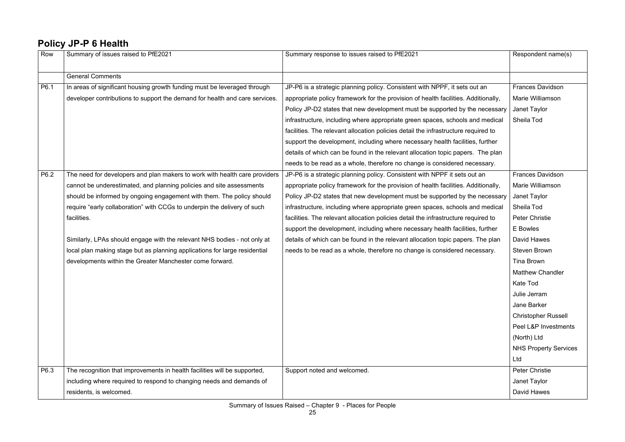#### **Policy JP-P 6 Health**

| Row  | Summary of issues raised to PfE2021                                         | Summary response to issues raised to PfE2021                                       | Respondent name(s)           |
|------|-----------------------------------------------------------------------------|------------------------------------------------------------------------------------|------------------------------|
|      | <b>General Comments</b>                                                     |                                                                                    |                              |
| P6.1 | In areas of significant housing growth funding must be leveraged through    | JP-P6 is a strategic planning policy. Consistent with NPPF, it sets out an         | <b>Frances Davidson</b>      |
|      | developer contributions to support the demand for health and care services. | appropriate policy framework for the provision of health facilities. Additionally, | Marie Williamson             |
|      |                                                                             | Policy JP-D2 states that new development must be supported by the necessary        | Janet Taylor                 |
|      |                                                                             | infrastructure, including where appropriate green spaces, schools and medical      | Sheila Tod                   |
|      |                                                                             | facilities. The relevant allocation policies detail the infrastructure required to |                              |
|      |                                                                             | support the development, including where necessary health facilities, further      |                              |
|      |                                                                             | details of which can be found in the relevant allocation topic papers. The plan    |                              |
|      |                                                                             | needs to be read as a whole, therefore no change is considered necessary.          |                              |
| P6.2 | The need for developers and plan makers to work with health care providers  | JP-P6 is a strategic planning policy. Consistent with NPPF it sets out an          | <b>Frances Davidson</b>      |
|      | cannot be underestimated, and planning policies and site assessments        | appropriate policy framework for the provision of health facilities. Additionally, | Marie Williamson             |
|      | should be informed by ongoing engagement with them. The policy should       | Policy JP-D2 states that new development must be supported by the necessary        | Janet Taylor                 |
|      | require "early collaboration" with CCGs to underpin the delivery of such    | infrastructure, including where appropriate green spaces, schools and medical      | Sheila Tod                   |
|      | facilities.                                                                 | facilities. The relevant allocation policies detail the infrastructure required to | <b>Peter Christie</b>        |
|      |                                                                             | support the development, including where necessary health facilities, further      | E Bowles                     |
|      | Similarly, LPAs should engage with the relevant NHS bodies - not only at    | details of which can be found in the relevant allocation topic papers. The plan    | David Hawes                  |
|      | local plan making stage but as planning applications for large residential  | needs to be read as a whole, therefore no change is considered necessary.          | <b>Steven Brown</b>          |
|      | developments within the Greater Manchester come forward.                    |                                                                                    | Tina Brown                   |
|      |                                                                             |                                                                                    | <b>Matthew Chandler</b>      |
|      |                                                                             |                                                                                    | Kate Tod                     |
|      |                                                                             |                                                                                    | Julie Jerram                 |
|      |                                                                             |                                                                                    | Jane Barker                  |
|      |                                                                             |                                                                                    | <b>Christopher Russell</b>   |
|      |                                                                             |                                                                                    | Peel L&P Investments         |
|      |                                                                             |                                                                                    | (North) Ltd                  |
|      |                                                                             |                                                                                    | <b>NHS Property Services</b> |
|      |                                                                             |                                                                                    | Ltd                          |
| P6.3 | The recognition that improvements in health facilities will be supported,   | Support noted and welcomed.                                                        | <b>Peter Christie</b>        |
|      | including where required to respond to changing needs and demands of        |                                                                                    | Janet Taylor                 |
|      | residents, is welcomed.                                                     |                                                                                    | David Hawes                  |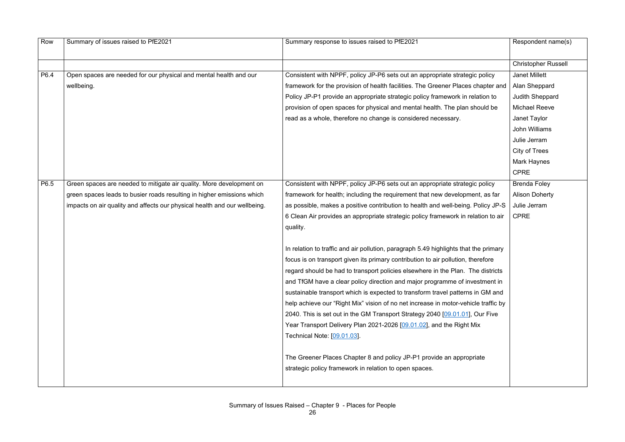| Row  | Summary of issues raised to PfE2021                                       | Summary response to issues raised to PfE2021                                         | Respondent name(s)         |
|------|---------------------------------------------------------------------------|--------------------------------------------------------------------------------------|----------------------------|
|      |                                                                           |                                                                                      |                            |
|      |                                                                           |                                                                                      | <b>Christopher Russell</b> |
| P6.4 | Open spaces are needed for our physical and mental health and our         | Consistent with NPPF, policy JP-P6 sets out an appropriate strategic policy          | <b>Janet Millett</b>       |
|      | wellbeing.                                                                | framework for the provision of health facilities. The Greener Places chapter and     | Alan Sheppard              |
|      |                                                                           | Policy JP-P1 provide an appropriate strategic policy framework in relation to        | Judith Sheppard            |
|      |                                                                           | provision of open spaces for physical and mental health. The plan should be          | <b>Michael Reeve</b>       |
|      |                                                                           | read as a whole, therefore no change is considered necessary.                        | Janet Taylor               |
|      |                                                                           |                                                                                      | <b>John Williams</b>       |
|      |                                                                           |                                                                                      | Julie Jerram               |
|      |                                                                           |                                                                                      | <b>City of Trees</b>       |
|      |                                                                           |                                                                                      | Mark Haynes                |
|      |                                                                           |                                                                                      | <b>CPRE</b>                |
| P6.5 | Green spaces are needed to mitigate air quality. More development on      | Consistent with NPPF, policy JP-P6 sets out an appropriate strategic policy          | <b>Brenda Foley</b>        |
|      | green spaces leads to busier roads resulting in higher emissions which    | framework for health; including the requirement that new development, as far         | <b>Alison Doherty</b>      |
|      | impacts on air quality and affects our physical health and our wellbeing. | as possible, makes a positive contribution to health and well-being. Policy JP-S     | Julie Jerram               |
|      |                                                                           | 6 Clean Air provides an appropriate strategic policy framework in relation to air    | <b>CPRE</b>                |
|      |                                                                           | quality.                                                                             |                            |
|      |                                                                           |                                                                                      |                            |
|      |                                                                           | In relation to traffic and air pollution, paragraph 5.49 highlights that the primary |                            |
|      |                                                                           | focus is on transport given its primary contribution to air pollution, therefore     |                            |
|      |                                                                           | regard should be had to transport policies elsewhere in the Plan. The districts      |                            |
|      |                                                                           | and TfGM have a clear policy direction and major programme of investment in          |                            |
|      |                                                                           | sustainable transport which is expected to transform travel patterns in GM and       |                            |
|      |                                                                           | help achieve our "Right Mix" vision of no net increase in motor-vehicle traffic by   |                            |
|      |                                                                           | 2040. This is set out in the GM Transport Strategy 2040 [09.01.01], Our Five         |                            |
|      |                                                                           | Year Transport Delivery Plan 2021-2026 [09.01.02], and the Right Mix                 |                            |
|      |                                                                           | Technical Note: [09.01.03].                                                          |                            |
|      |                                                                           |                                                                                      |                            |
|      |                                                                           | The Greener Places Chapter 8 and policy JP-P1 provide an appropriate                 |                            |
|      |                                                                           | strategic policy framework in relation to open spaces.                               |                            |
|      |                                                                           |                                                                                      |                            |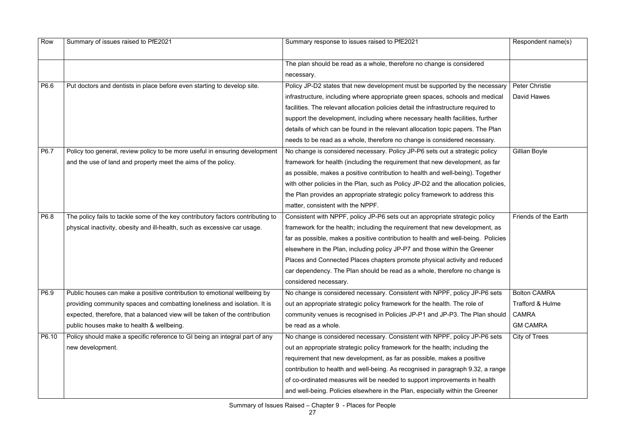| Row   | Summary of issues raised to PfE2021                                             | Summary response to issues raised to PfE2021                                       | Respondent name(s)          |
|-------|---------------------------------------------------------------------------------|------------------------------------------------------------------------------------|-----------------------------|
|       |                                                                                 | The plan should be read as a whole, therefore no change is considered              |                             |
|       |                                                                                 | necessary.                                                                         |                             |
| P6.6  | Put doctors and dentists in place before even starting to develop site.         | Policy JP-D2 states that new development must be supported by the necessary        | <b>Peter Christie</b>       |
|       |                                                                                 | infrastructure, including where appropriate green spaces, schools and medical      | <b>David Hawes</b>          |
|       |                                                                                 | facilities. The relevant allocation policies detail the infrastructure required to |                             |
|       |                                                                                 | support the development, including where necessary health facilities, further      |                             |
|       |                                                                                 | details of which can be found in the relevant allocation topic papers. The Plan    |                             |
|       |                                                                                 | needs to be read as a whole, therefore no change is considered necessary.          |                             |
| P6.7  | Policy too general, review policy to be more useful in ensuring development     | No change is considered necessary. Policy JP-P6 sets out a strategic policy        | Gillian Boyle               |
|       | and the use of land and property meet the aims of the policy.                   | framework for health (including the requirement that new development, as far       |                             |
|       |                                                                                 | as possible, makes a positive contribution to health and well-being). Together     |                             |
|       |                                                                                 | with other policies in the Plan, such as Policy JP-D2 and the allocation policies, |                             |
|       |                                                                                 | the Plan provides an appropriate strategic policy framework to address this        |                             |
|       |                                                                                 | matter, consistent with the NPPF.                                                  |                             |
| P6.8  | The policy fails to tackle some of the key contributory factors contributing to | Consistent with NPPF, policy JP-P6 sets out an appropriate strategic policy        | Friends of the Earth        |
|       | physical inactivity, obesity and ill-health, such as excessive car usage.       | framework for the health; including the requirement that new development, as       |                             |
|       |                                                                                 | far as possible, makes a positive contribution to health and well-being. Policies  |                             |
|       |                                                                                 | elsewhere in the Plan, including policy JP-P7 and those within the Greener         |                             |
|       |                                                                                 | Places and Connected Places chapters promote physical activity and reduced         |                             |
|       |                                                                                 | car dependency. The Plan should be read as a whole, therefore no change is         |                             |
|       |                                                                                 | considered necessary.                                                              |                             |
| P6.9  | Public houses can make a positive contribution to emotional wellbeing by        | No change is considered necessary. Consistent with NPPF, policy JP-P6 sets         | <b>Bolton CAMRA</b>         |
|       | providing community spaces and combatting loneliness and isolation. It is       | out an appropriate strategic policy framework for the health. The role of          | <b>Trafford &amp; Hulme</b> |
|       | expected, therefore, that a balanced view will be taken of the contribution     | community venues is recognised in Policies JP-P1 and JP-P3. The Plan should        | <b>CAMRA</b>                |
|       | public houses make to health & wellbeing.                                       | be read as a whole.                                                                | <b>GM CAMRA</b>             |
| P6.10 | Policy should make a specific reference to GI being an integral part of any     | No change is considered necessary. Consistent with NPPF, policy JP-P6 sets         | City of Trees               |
|       | new development.                                                                | out an appropriate strategic policy framework for the health; including the        |                             |
|       |                                                                                 | requirement that new development, as far as possible, makes a positive             |                             |
|       |                                                                                 | contribution to health and well-being. As recognised in paragraph 9.32, a range    |                             |
|       |                                                                                 | of co-ordinated measures will be needed to support improvements in health          |                             |
|       |                                                                                 | and well-being. Policies elsewhere in the Plan, especially within the Greener      |                             |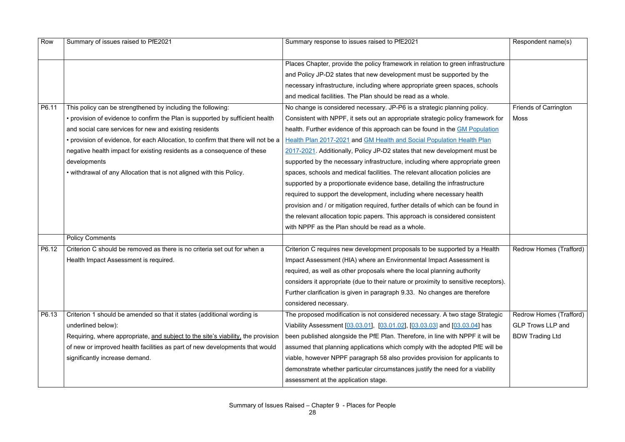| Row   | Summary of issues raised to PfE2021                                               | Summary response to issues raised to PfE2021                                        | Respondent name(s)           |
|-------|-----------------------------------------------------------------------------------|-------------------------------------------------------------------------------------|------------------------------|
|       |                                                                                   |                                                                                     |                              |
|       |                                                                                   | Places Chapter, provide the policy framework in relation to green infrastructure    |                              |
|       |                                                                                   | and Policy JP-D2 states that new development must be supported by the               |                              |
|       |                                                                                   | necessary infrastructure, including where appropriate green spaces, schools         |                              |
|       |                                                                                   | and medical facilities. The Plan should be read as a whole.                         |                              |
| P6.11 | This policy can be strengthened by including the following:                       | No change is considered necessary. JP-P6 is a strategic planning policy.            | <b>Friends of Carrington</b> |
|       | • provision of evidence to confirm the Plan is supported by sufficient health     | Consistent with NPPF, it sets out an appropriate strategic policy framework for     | Moss                         |
|       | and social care services for new and existing residents                           | health. Further evidence of this approach can be found in the GM Population         |                              |
|       | • provision of evidence, for each Allocation, to confirm that there will not be a | Health Plan 2017-2021 and GM Health and Social Population Health Plan               |                              |
|       | negative health impact for existing residents as a consequence of these           | 2017-2021. Additionally, Policy JP-D2 states that new development must be           |                              |
|       | developments                                                                      | supported by the necessary infrastructure, including where appropriate green        |                              |
|       | • withdrawal of any Allocation that is not aligned with this Policy.              | spaces, schools and medical facilities. The relevant allocation policies are        |                              |
|       |                                                                                   | supported by a proportionate evidence base, detailing the infrastructure            |                              |
|       |                                                                                   | required to support the development, including where necessary health               |                              |
|       |                                                                                   | provision and / or mitigation required, further details of which can be found in    |                              |
|       |                                                                                   | the relevant allocation topic papers. This approach is considered consistent        |                              |
|       |                                                                                   | with NPPF as the Plan should be read as a whole.                                    |                              |
|       | <b>Policy Comments</b>                                                            |                                                                                     |                              |
| P6.12 | Criterion C should be removed as there is no criteria set out for when a          | Criterion C requires new development proposals to be supported by a Health          | Redrow Homes (Trafford)      |
|       | Health Impact Assessment is required.                                             | Impact Assessment (HIA) where an Environmental Impact Assessment is                 |                              |
|       |                                                                                   | required, as well as other proposals where the local planning authority             |                              |
|       |                                                                                   | considers it appropriate (due to their nature or proximity to sensitive receptors). |                              |
|       |                                                                                   | Further clarification is given in paragraph 9.33. No changes are therefore          |                              |
|       |                                                                                   | considered necessary.                                                               |                              |
| P6.13 | Criterion 1 should be amended so that it states (additional wording is            | The proposed modification is not considered necessary. A two stage Strategic        | Redrow Homes (Trafford)      |
|       | underlined below):                                                                | Viability Assessment [03.03.01], [03.01.02], [03.03.03] and [03.03.04] has          | <b>GLP Trows LLP and</b>     |
|       | Requiring, where appropriate, and subject to the site's viability, the provision  | been published alongside the PfE Plan. Therefore, in line with NPPF it will be      | <b>BDW Trading Ltd</b>       |
|       | of new or improved health facilities as part of new developments that would       | assumed that planning applications which comply with the adopted PfE will be        |                              |
|       | significantly increase demand.                                                    | viable, however NPPF paragraph 58 also provides provision for applicants to         |                              |
|       |                                                                                   | demonstrate whether particular circumstances justify the need for a viability       |                              |
|       |                                                                                   | assessment at the application stage.                                                |                              |
|       |                                                                                   |                                                                                     |                              |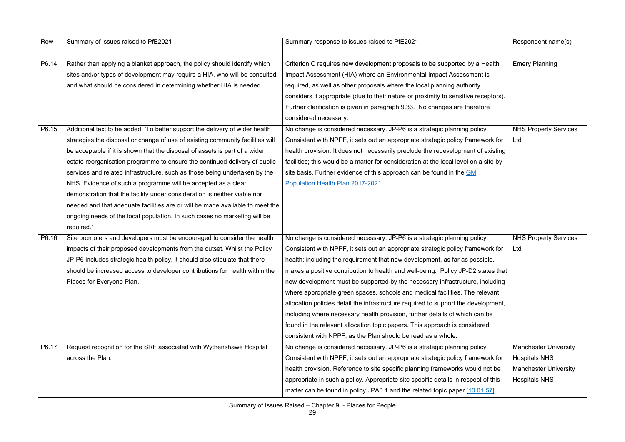| Row   | Summary of issues raised to PfE2021                                            | Summary response to issues raised to PfE2021                                         | Respondent name(s)           |
|-------|--------------------------------------------------------------------------------|--------------------------------------------------------------------------------------|------------------------------|
|       |                                                                                |                                                                                      |                              |
| P6.14 | Rather than applying a blanket approach, the policy should identify which      | Criterion C requires new development proposals to be supported by a Health           | <b>Emery Planning</b>        |
|       | sites and/or types of development may require a HIA, who will be consulted,    | Impact Assessment (HIA) where an Environmental Impact Assessment is                  |                              |
|       | and what should be considered in determining whether HIA is needed.            | required, as well as other proposals where the local planning authority              |                              |
|       |                                                                                | considers it appropriate (due to their nature or proximity to sensitive receptors).  |                              |
|       |                                                                                | Further clarification is given in paragraph 9.33. No changes are therefore           |                              |
|       |                                                                                | considered necessary.                                                                |                              |
| P6.15 | Additional text to be added: 'To better support the delivery of wider health   | No change is considered necessary. JP-P6 is a strategic planning policy.             | <b>NHS Property Services</b> |
|       | strategies the disposal or change of use of existing community facilities will | Consistent with NPPF, it sets out an appropriate strategic policy framework for      | Ltd                          |
|       | be acceptable if it is shown that the disposal of assets is part of a wider    | health provision. It does not necessarily preclude the redevelopment of existing     |                              |
|       | estate reorganisation programme to ensure the continued delivery of public     | facilities; this would be a matter for consideration at the local level on a site by |                              |
|       | services and related infrastructure, such as those being undertaken by the     | site basis. Further evidence of this approach can be found in the GM                 |                              |
|       | NHS. Evidence of such a programme will be accepted as a clear                  | Population Health Plan 2017-2021.                                                    |                              |
|       | demonstration that the facility under consideration is neither viable nor      |                                                                                      |                              |
|       | needed and that adequate facilities are or will be made available to meet the  |                                                                                      |                              |
|       | ongoing needs of the local population. In such cases no marketing will be      |                                                                                      |                              |
|       | required.'                                                                     |                                                                                      |                              |
| P6.16 | Site promoters and developers must be encouraged to consider the health        | No change is considered necessary. JP-P6 is a strategic planning policy.             | <b>NHS Property Services</b> |
|       | impacts of their proposed developments from the outset. Whilst the Policy      | Consistent with NPPF, it sets out an appropriate strategic policy framework for      | Ltd                          |
|       | JP-P6 includes strategic health policy, it should also stipulate that there    | health; including the requirement that new development, as far as possible,          |                              |
|       | should be increased access to developer contributions for health within the    | makes a positive contribution to health and well-being. Policy JP-D2 states that     |                              |
|       | Places for Everyone Plan.                                                      | new development must be supported by the necessary infrastructure, including         |                              |
|       |                                                                                | where appropriate green spaces, schools and medical facilities. The relevant         |                              |
|       |                                                                                | allocation policies detail the infrastructure required to support the development,   |                              |
|       |                                                                                | including where necessary health provision, further details of which can be          |                              |
|       |                                                                                | found in the relevant allocation topic papers. This approach is considered           |                              |
|       |                                                                                | consistent with NPPF, as the Plan should be read as a whole.                         |                              |
| P6.17 | Request recognition for the SRF associated with Wythenshawe Hospital           | No change is considered necessary. JP-P6 is a strategic planning policy.             | <b>Manchester University</b> |
|       | across the Plan.                                                               | Consistent with NPPF, it sets out an appropriate strategic policy framework for      | <b>Hospitals NHS</b>         |
|       |                                                                                | health provision. Reference to site specific planning frameworks would not be        | <b>Manchester University</b> |
|       |                                                                                | appropriate in such a policy. Appropriate site specific details in respect of this   | <b>Hospitals NHS</b>         |
|       |                                                                                | matter can be found in policy JPA3.1 and the related topic paper [10.01.57].         |                              |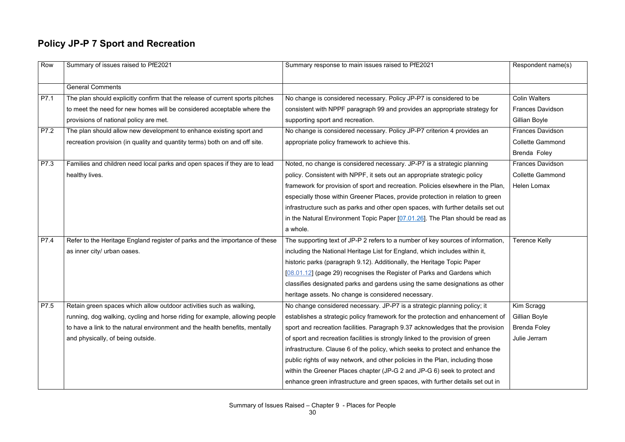### **Policy JP-P 7 Sport and Recreation**

| Row  | Summary of issues raised to PfE2021                                           | Summary response to main issues raised to PfE2021                                | Respondent name(s)      |
|------|-------------------------------------------------------------------------------|----------------------------------------------------------------------------------|-------------------------|
|      | <b>General Comments</b>                                                       |                                                                                  |                         |
| P7.1 | The plan should explicitly confirm that the release of current sports pitches | No change is considered necessary. Policy JP-P7 is considered to be              | <b>Colin Walters</b>    |
|      | to meet the need for new homes will be considered acceptable where the        | consistent with NPPF paragraph 99 and provides an appropriate strategy for       | <b>Frances Davidson</b> |
|      | provisions of national policy are met.                                        | supporting sport and recreation.                                                 | Gillian Boyle           |
| P7.2 | The plan should allow new development to enhance existing sport and           | No change is considered necessary. Policy JP-P7 criterion 4 provides an          | <b>Frances Davidson</b> |
|      | recreation provision (in quality and quantity terms) both on and off site.    | appropriate policy framework to achieve this.                                    | <b>Collette Gammond</b> |
|      |                                                                               |                                                                                  | Brenda Foley            |
| P7.3 | Families and children need local parks and open spaces if they are to lead    | Noted, no change is considered necessary. JP-P7 is a strategic planning          | <b>Frances Davidson</b> |
|      | healthy lives.                                                                | policy. Consistent with NPPF, it sets out an appropriate strategic policy        | <b>Collette Gammond</b> |
|      |                                                                               | framework for provision of sport and recreation. Policies elsewhere in the Plan, | <b>Helen Lomax</b>      |
|      |                                                                               | especially those within Greener Places, provide protection in relation to green  |                         |
|      |                                                                               | infrastructure such as parks and other open spaces, with further details set out |                         |
|      |                                                                               | in the Natural Environment Topic Paper [07.01.26]. The Plan should be read as    |                         |
|      |                                                                               | a whole.                                                                         |                         |
| P7.4 | Refer to the Heritage England register of parks and the importance of these   | The supporting text of JP-P 2 refers to a number of key sources of information,  | <b>Terence Kelly</b>    |
|      | as inner city/ urban oases.                                                   | including the National Heritage List for England, which includes within it,      |                         |
|      |                                                                               | historic parks (paragraph 9.12). Additionally, the Heritage Topic Paper          |                         |
|      |                                                                               | [08.01.12] (page 29) recognises the Register of Parks and Gardens which          |                         |
|      |                                                                               | classifies designated parks and gardens using the same designations as other     |                         |
|      |                                                                               | heritage assets. No change is considered necessary.                              |                         |
| P7.5 |                                                                               |                                                                                  |                         |
|      | Retain green spaces which allow outdoor activities such as walking,           | No change considered necessary. JP-P7 is a strategic planning policy; it         | Kim Scragg              |
|      | running, dog walking, cycling and horse riding for example, allowing people   | establishes a strategic policy framework for the protection and enhancement of   | Gillian Boyle           |
|      | to have a link to the natural environment and the health benefits, mentally   | sport and recreation facilities. Paragraph 9.37 acknowledges that the provision  | <b>Brenda Foley</b>     |
|      | and physically, of being outside.                                             | of sport and recreation facilities is strongly linked to the provision of green  | Julie Jerram            |
|      |                                                                               | infrastructure. Clause 6 of the policy, which seeks to protect and enhance the   |                         |
|      |                                                                               | public rights of way network, and other policies in the Plan, including those    |                         |
|      |                                                                               | within the Greener Places chapter (JP-G 2 and JP-G 6) seek to protect and        |                         |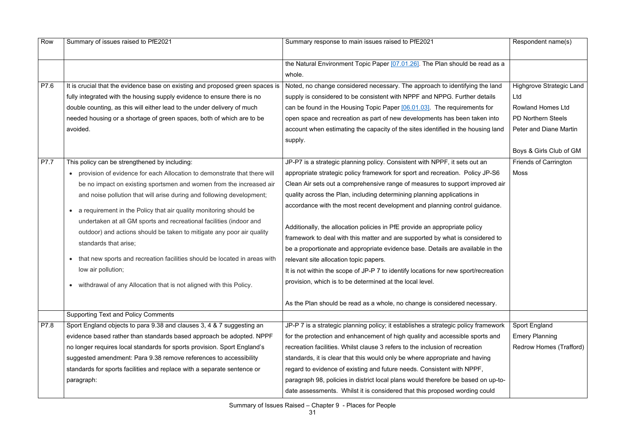| Row  | Summary of issues raised to PfE2021                                                                                                           | Summary response to main issues raised to PfE2021                                   | Respondent name(s)              |
|------|-----------------------------------------------------------------------------------------------------------------------------------------------|-------------------------------------------------------------------------------------|---------------------------------|
|      |                                                                                                                                               | the Natural Environment Topic Paper [07.01.26]. The Plan should be read as a        |                                 |
|      |                                                                                                                                               | whole.                                                                              |                                 |
| P7.6 | It is crucial that the evidence base on existing and proposed green spaces is                                                                 | Noted, no change considered necessary. The approach to identifying the land         | <b>Highgrove Strategic Land</b> |
|      | fully integrated with the housing supply evidence to ensure there is no                                                                       | supply is considered to be consistent with NPPF and NPPG. Further details           | Ltd                             |
|      |                                                                                                                                               |                                                                                     | <b>Rowland Homes Ltd</b>        |
|      | double counting, as this will either lead to the under delivery of much                                                                       | can be found in the Housing Topic Paper [06.01.03]. The requirements for            | <b>PD Northern Steels</b>       |
|      | needed housing or a shortage of green spaces, both of which are to be                                                                         | open space and recreation as part of new developments has been taken into           |                                 |
|      | avoided.                                                                                                                                      | account when estimating the capacity of the sites identified in the housing land    | <b>Peter and Diane Martin</b>   |
|      |                                                                                                                                               | supply.                                                                             |                                 |
|      |                                                                                                                                               |                                                                                     | Boys & Girls Club of GM         |
| P7.7 | This policy can be strengthened by including:                                                                                                 | JP-P7 is a strategic planning policy. Consistent with NPPF, it sets out an          | <b>Friends of Carrington</b>    |
|      | provision of evidence for each Allocation to demonstrate that there will                                                                      | appropriate strategic policy framework for sport and recreation. Policy JP-S6       | <b>Moss</b>                     |
|      | be no impact on existing sportsmen and women from the increased air                                                                           | Clean Air sets out a comprehensive range of measures to support improved air        |                                 |
|      | and noise pollution that will arise during and following development;                                                                         | quality across the Plan, including determining planning applications in             |                                 |
|      | a requirement in the Policy that air quality monitoring should be<br>$\bullet$                                                                | accordance with the most recent development and planning control guidance.          |                                 |
|      | undertaken at all GM sports and recreational facilities (indoor and                                                                           |                                                                                     |                                 |
|      | outdoor) and actions should be taken to mitigate any poor air quality                                                                         | Additionally, the allocation policies in PfE provide an appropriate policy          |                                 |
|      | standards that arise;                                                                                                                         | framework to deal with this matter and are supported by what is considered to       |                                 |
|      |                                                                                                                                               | be a proportionate and appropriate evidence base. Details are available in the      |                                 |
|      | that new sports and recreation facilities should be located in areas with                                                                     | relevant site allocation topic papers.                                              |                                 |
|      | low air pollution;                                                                                                                            | It is not within the scope of JP-P 7 to identify locations for new sport/recreation |                                 |
|      | withdrawal of any Allocation that is not aligned with this Policy.<br>$\bullet$                                                               | provision, which is to be determined at the local level.                            |                                 |
|      |                                                                                                                                               | As the Plan should be read as a whole, no change is considered necessary.           |                                 |
|      | <b>Supporting Text and Policy Comments</b>                                                                                                    |                                                                                     |                                 |
| P7.8 |                                                                                                                                               |                                                                                     | <b>Sport England</b>            |
|      | Sport England objects to para 9.38 and clauses 3, 4 & 7 suggesting an<br>evidence based rather than standards based approach be adopted. NPPF | JP-P 7 is a strategic planning policy; it establishes a strategic policy framework  |                                 |
|      |                                                                                                                                               | for the protection and enhancement of high quality and accessible sports and        | <b>Emery Planning</b>           |
|      | no longer requires local standards for sports provision. Sport England's                                                                      | recreation facilities. Whilst clause 3 refers to the inclusion of recreation        | Redrow Homes (Trafford)         |
|      | suggested amendment: Para 9.38 remove references to accessibility                                                                             | standards, it is clear that this would only be where appropriate and having         |                                 |
|      | standards for sports facilities and replace with a separate sentence or                                                                       | regard to evidence of existing and future needs. Consistent with NPPF,              |                                 |
|      | paragraph:                                                                                                                                    | paragraph 98, policies in district local plans would therefore be based on up-to-   |                                 |
|      |                                                                                                                                               | date assessments. Whilst it is considered that this proposed wording could          |                                 |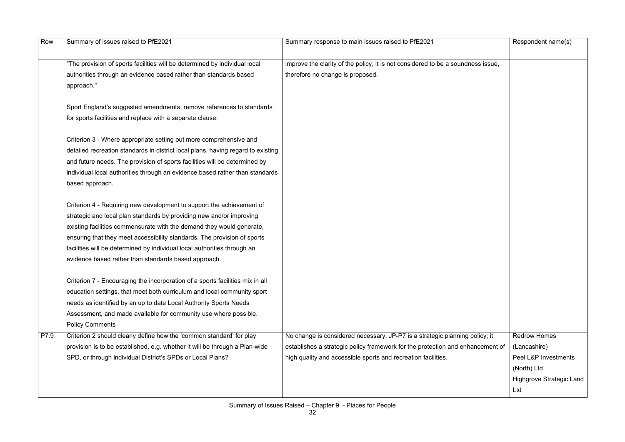| "The provision of sports facilities will be determined by individual local<br>improve the clarity of the policy, it is not considered to be a soundness issue,<br>therefore no change is proposed.<br>authorities through an evidence based rather than standards based<br>approach."<br>Sport England's suggested amendments: remove references to standards<br>for sports facilities and replace with a separate clause:<br>Criterion 3 - Where appropriate setting out more comprehensive and<br>detailed recreation standards in district local plans, having regard to existing<br>and future needs. The provision of sports facilities will be determined by<br>individual local authorities through an evidence based rather than standards<br>based approach.<br>Criterion 4 - Requiring new development to support the achievement of<br>strategic and local plan standards by providing new and/or improving<br>existing facilities commensurate with the demand they would generate,<br>ensuring that they meet accessibility standards. The provision of sports<br>facilities will be determined by individual local authorities through an<br>evidence based rather than standards based approach.<br>Criterion 7 - Encouraging the incorporation of a sports facilities mix in all<br>education settings, that meet both curriculum and local community sport<br>needs as identified by an up to date Local Authority Sports Needs<br>Assessment, and made available for community use where possible.<br><b>Policy Comments</b><br>P7.9<br>Criterion 2 should clearly define how the 'common standard' for play<br>No change is considered necessary. JP-P7 is a strategic planning policy; it<br><b>Redrow Homes</b><br>provision is to be established, e.g. whether it will be through a Plan-wide<br>establishes a strategic policy framework for the protection and enhancement of<br>(Lancashire)<br>SPD, or through individual District's SPDs or Local Plans?<br>high quality and accessible sports and recreation facilities.<br>Peel L&P Investments<br>(North) Ltd | Row | Summary of issues raised to PfE2021 | Summary response to main issues raised to PfE2021 | Respondent name(s)       |
|---------------------------------------------------------------------------------------------------------------------------------------------------------------------------------------------------------------------------------------------------------------------------------------------------------------------------------------------------------------------------------------------------------------------------------------------------------------------------------------------------------------------------------------------------------------------------------------------------------------------------------------------------------------------------------------------------------------------------------------------------------------------------------------------------------------------------------------------------------------------------------------------------------------------------------------------------------------------------------------------------------------------------------------------------------------------------------------------------------------------------------------------------------------------------------------------------------------------------------------------------------------------------------------------------------------------------------------------------------------------------------------------------------------------------------------------------------------------------------------------------------------------------------------------------------------------------------------------------------------------------------------------------------------------------------------------------------------------------------------------------------------------------------------------------------------------------------------------------------------------------------------------------------------------------------------------------------------------------------------------------------------------------------------------------------------------------------------------|-----|-------------------------------------|---------------------------------------------------|--------------------------|
|                                                                                                                                                                                                                                                                                                                                                                                                                                                                                                                                                                                                                                                                                                                                                                                                                                                                                                                                                                                                                                                                                                                                                                                                                                                                                                                                                                                                                                                                                                                                                                                                                                                                                                                                                                                                                                                                                                                                                                                                                                                                                             |     |                                     |                                                   |                          |
|                                                                                                                                                                                                                                                                                                                                                                                                                                                                                                                                                                                                                                                                                                                                                                                                                                                                                                                                                                                                                                                                                                                                                                                                                                                                                                                                                                                                                                                                                                                                                                                                                                                                                                                                                                                                                                                                                                                                                                                                                                                                                             |     |                                     |                                                   |                          |
|                                                                                                                                                                                                                                                                                                                                                                                                                                                                                                                                                                                                                                                                                                                                                                                                                                                                                                                                                                                                                                                                                                                                                                                                                                                                                                                                                                                                                                                                                                                                                                                                                                                                                                                                                                                                                                                                                                                                                                                                                                                                                             |     |                                     |                                                   |                          |
|                                                                                                                                                                                                                                                                                                                                                                                                                                                                                                                                                                                                                                                                                                                                                                                                                                                                                                                                                                                                                                                                                                                                                                                                                                                                                                                                                                                                                                                                                                                                                                                                                                                                                                                                                                                                                                                                                                                                                                                                                                                                                             |     |                                     |                                                   |                          |
|                                                                                                                                                                                                                                                                                                                                                                                                                                                                                                                                                                                                                                                                                                                                                                                                                                                                                                                                                                                                                                                                                                                                                                                                                                                                                                                                                                                                                                                                                                                                                                                                                                                                                                                                                                                                                                                                                                                                                                                                                                                                                             |     |                                     |                                                   |                          |
|                                                                                                                                                                                                                                                                                                                                                                                                                                                                                                                                                                                                                                                                                                                                                                                                                                                                                                                                                                                                                                                                                                                                                                                                                                                                                                                                                                                                                                                                                                                                                                                                                                                                                                                                                                                                                                                                                                                                                                                                                                                                                             |     |                                     |                                                   |                          |
|                                                                                                                                                                                                                                                                                                                                                                                                                                                                                                                                                                                                                                                                                                                                                                                                                                                                                                                                                                                                                                                                                                                                                                                                                                                                                                                                                                                                                                                                                                                                                                                                                                                                                                                                                                                                                                                                                                                                                                                                                                                                                             |     |                                     |                                                   |                          |
|                                                                                                                                                                                                                                                                                                                                                                                                                                                                                                                                                                                                                                                                                                                                                                                                                                                                                                                                                                                                                                                                                                                                                                                                                                                                                                                                                                                                                                                                                                                                                                                                                                                                                                                                                                                                                                                                                                                                                                                                                                                                                             |     |                                     |                                                   |                          |
|                                                                                                                                                                                                                                                                                                                                                                                                                                                                                                                                                                                                                                                                                                                                                                                                                                                                                                                                                                                                                                                                                                                                                                                                                                                                                                                                                                                                                                                                                                                                                                                                                                                                                                                                                                                                                                                                                                                                                                                                                                                                                             |     |                                     |                                                   |                          |
|                                                                                                                                                                                                                                                                                                                                                                                                                                                                                                                                                                                                                                                                                                                                                                                                                                                                                                                                                                                                                                                                                                                                                                                                                                                                                                                                                                                                                                                                                                                                                                                                                                                                                                                                                                                                                                                                                                                                                                                                                                                                                             |     |                                     |                                                   |                          |
|                                                                                                                                                                                                                                                                                                                                                                                                                                                                                                                                                                                                                                                                                                                                                                                                                                                                                                                                                                                                                                                                                                                                                                                                                                                                                                                                                                                                                                                                                                                                                                                                                                                                                                                                                                                                                                                                                                                                                                                                                                                                                             |     |                                     |                                                   |                          |
|                                                                                                                                                                                                                                                                                                                                                                                                                                                                                                                                                                                                                                                                                                                                                                                                                                                                                                                                                                                                                                                                                                                                                                                                                                                                                                                                                                                                                                                                                                                                                                                                                                                                                                                                                                                                                                                                                                                                                                                                                                                                                             |     |                                     |                                                   |                          |
|                                                                                                                                                                                                                                                                                                                                                                                                                                                                                                                                                                                                                                                                                                                                                                                                                                                                                                                                                                                                                                                                                                                                                                                                                                                                                                                                                                                                                                                                                                                                                                                                                                                                                                                                                                                                                                                                                                                                                                                                                                                                                             |     |                                     |                                                   |                          |
|                                                                                                                                                                                                                                                                                                                                                                                                                                                                                                                                                                                                                                                                                                                                                                                                                                                                                                                                                                                                                                                                                                                                                                                                                                                                                                                                                                                                                                                                                                                                                                                                                                                                                                                                                                                                                                                                                                                                                                                                                                                                                             |     |                                     |                                                   |                          |
|                                                                                                                                                                                                                                                                                                                                                                                                                                                                                                                                                                                                                                                                                                                                                                                                                                                                                                                                                                                                                                                                                                                                                                                                                                                                                                                                                                                                                                                                                                                                                                                                                                                                                                                                                                                                                                                                                                                                                                                                                                                                                             |     |                                     |                                                   |                          |
|                                                                                                                                                                                                                                                                                                                                                                                                                                                                                                                                                                                                                                                                                                                                                                                                                                                                                                                                                                                                                                                                                                                                                                                                                                                                                                                                                                                                                                                                                                                                                                                                                                                                                                                                                                                                                                                                                                                                                                                                                                                                                             |     |                                     |                                                   |                          |
|                                                                                                                                                                                                                                                                                                                                                                                                                                                                                                                                                                                                                                                                                                                                                                                                                                                                                                                                                                                                                                                                                                                                                                                                                                                                                                                                                                                                                                                                                                                                                                                                                                                                                                                                                                                                                                                                                                                                                                                                                                                                                             |     |                                     |                                                   |                          |
|                                                                                                                                                                                                                                                                                                                                                                                                                                                                                                                                                                                                                                                                                                                                                                                                                                                                                                                                                                                                                                                                                                                                                                                                                                                                                                                                                                                                                                                                                                                                                                                                                                                                                                                                                                                                                                                                                                                                                                                                                                                                                             |     |                                     |                                                   |                          |
|                                                                                                                                                                                                                                                                                                                                                                                                                                                                                                                                                                                                                                                                                                                                                                                                                                                                                                                                                                                                                                                                                                                                                                                                                                                                                                                                                                                                                                                                                                                                                                                                                                                                                                                                                                                                                                                                                                                                                                                                                                                                                             |     |                                     |                                                   |                          |
|                                                                                                                                                                                                                                                                                                                                                                                                                                                                                                                                                                                                                                                                                                                                                                                                                                                                                                                                                                                                                                                                                                                                                                                                                                                                                                                                                                                                                                                                                                                                                                                                                                                                                                                                                                                                                                                                                                                                                                                                                                                                                             |     |                                     |                                                   |                          |
|                                                                                                                                                                                                                                                                                                                                                                                                                                                                                                                                                                                                                                                                                                                                                                                                                                                                                                                                                                                                                                                                                                                                                                                                                                                                                                                                                                                                                                                                                                                                                                                                                                                                                                                                                                                                                                                                                                                                                                                                                                                                                             |     |                                     |                                                   |                          |
|                                                                                                                                                                                                                                                                                                                                                                                                                                                                                                                                                                                                                                                                                                                                                                                                                                                                                                                                                                                                                                                                                                                                                                                                                                                                                                                                                                                                                                                                                                                                                                                                                                                                                                                                                                                                                                                                                                                                                                                                                                                                                             |     |                                     |                                                   |                          |
|                                                                                                                                                                                                                                                                                                                                                                                                                                                                                                                                                                                                                                                                                                                                                                                                                                                                                                                                                                                                                                                                                                                                                                                                                                                                                                                                                                                                                                                                                                                                                                                                                                                                                                                                                                                                                                                                                                                                                                                                                                                                                             |     |                                     |                                                   |                          |
|                                                                                                                                                                                                                                                                                                                                                                                                                                                                                                                                                                                                                                                                                                                                                                                                                                                                                                                                                                                                                                                                                                                                                                                                                                                                                                                                                                                                                                                                                                                                                                                                                                                                                                                                                                                                                                                                                                                                                                                                                                                                                             |     |                                     |                                                   |                          |
|                                                                                                                                                                                                                                                                                                                                                                                                                                                                                                                                                                                                                                                                                                                                                                                                                                                                                                                                                                                                                                                                                                                                                                                                                                                                                                                                                                                                                                                                                                                                                                                                                                                                                                                                                                                                                                                                                                                                                                                                                                                                                             |     |                                     |                                                   |                          |
|                                                                                                                                                                                                                                                                                                                                                                                                                                                                                                                                                                                                                                                                                                                                                                                                                                                                                                                                                                                                                                                                                                                                                                                                                                                                                                                                                                                                                                                                                                                                                                                                                                                                                                                                                                                                                                                                                                                                                                                                                                                                                             |     |                                     |                                                   |                          |
|                                                                                                                                                                                                                                                                                                                                                                                                                                                                                                                                                                                                                                                                                                                                                                                                                                                                                                                                                                                                                                                                                                                                                                                                                                                                                                                                                                                                                                                                                                                                                                                                                                                                                                                                                                                                                                                                                                                                                                                                                                                                                             |     |                                     |                                                   |                          |
|                                                                                                                                                                                                                                                                                                                                                                                                                                                                                                                                                                                                                                                                                                                                                                                                                                                                                                                                                                                                                                                                                                                                                                                                                                                                                                                                                                                                                                                                                                                                                                                                                                                                                                                                                                                                                                                                                                                                                                                                                                                                                             |     |                                     |                                                   | Highgrove Strategic Land |
| Ltd                                                                                                                                                                                                                                                                                                                                                                                                                                                                                                                                                                                                                                                                                                                                                                                                                                                                                                                                                                                                                                                                                                                                                                                                                                                                                                                                                                                                                                                                                                                                                                                                                                                                                                                                                                                                                                                                                                                                                                                                                                                                                         |     |                                     |                                                   |                          |